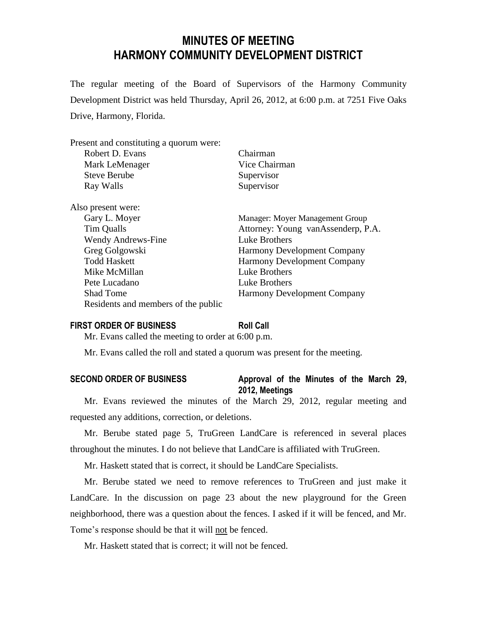# **MINUTES OF MEETING HARMONY COMMUNITY DEVELOPMENT DISTRICT**

The regular meeting of the Board of Supervisors of the Harmony Community Development District was held Thursday, April 26, 2012, at 6:00 p.m. at 7251 Five Oaks Drive, Harmony, Florida.

| Present and constituting a quorum were: |                                    |  |  |  |  |  |
|-----------------------------------------|------------------------------------|--|--|--|--|--|
| Robert D. Evans                         | Chairman                           |  |  |  |  |  |
| Mark LeMenager                          | Vice Chairman                      |  |  |  |  |  |
| <b>Steve Berube</b>                     | Supervisor                         |  |  |  |  |  |
| Ray Walls                               | Supervisor                         |  |  |  |  |  |
| Also present were:                      |                                    |  |  |  |  |  |
| Gary L. Moyer                           | Manager: Moyer Management Group    |  |  |  |  |  |
| Tim Qualls                              | Attorney: Young vanAssenderp, P.A. |  |  |  |  |  |
| <b>Wendy Andrews-Fine</b>               | Luke Brothers                      |  |  |  |  |  |
| Greg Golgowski                          | <b>Harmony Development Company</b> |  |  |  |  |  |
| <b>Todd Haskett</b>                     | <b>Harmony Development Company</b> |  |  |  |  |  |
| Mike McMillan                           | <b>Luke Brothers</b>               |  |  |  |  |  |
| Pete Lucadano                           | Luke Brothers                      |  |  |  |  |  |
| <b>Shad Tome</b>                        | <b>Harmony Development Company</b> |  |  |  |  |  |
| Residents and members of the public     |                                    |  |  |  |  |  |
|                                         |                                    |  |  |  |  |  |

#### **FIRST ORDER OF BUSINESS Roll Call**

Mr. Evans called the meeting to order at 6:00 p.m.

Mr. Evans called the roll and stated a quorum was present for the meeting.

| <b>SECOND ORDER OF BUSINESS</b> | Approval of the Minutes of the March 29, |  |  |  |  |  |
|---------------------------------|------------------------------------------|--|--|--|--|--|
|                                 | 2012, Meetings                           |  |  |  |  |  |

Mr. Evans reviewed the minutes of the March 29, 2012, regular meeting and requested any additions, correction, or deletions.

Mr. Berube stated page 5, TruGreen LandCare is referenced in several places throughout the minutes. I do not believe that LandCare is affiliated with TruGreen.

Mr. Haskett stated that is correct, it should be LandCare Specialists.

Mr. Berube stated we need to remove references to TruGreen and just make it LandCare. In the discussion on page 23 about the new playground for the Green neighborhood, there was a question about the fences. I asked if it will be fenced, and Mr. Tome's response should be that it will not be fenced.

Mr. Haskett stated that is correct; it will not be fenced.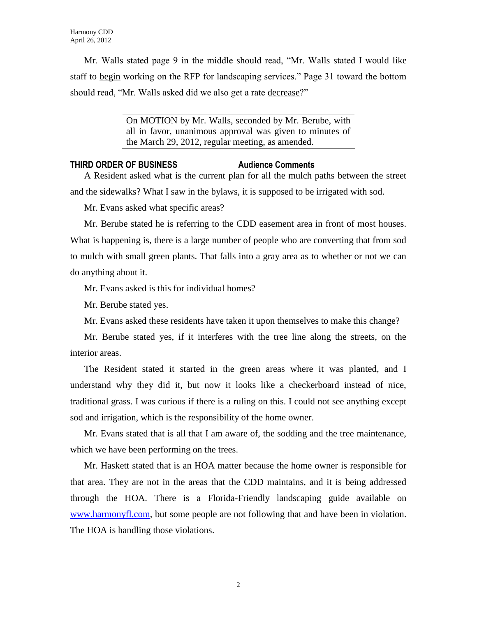Mr. Walls stated page 9 in the middle should read, "Mr. Walls stated I would like staff to begin working on the RFP for landscaping services." Page 31 toward the bottom should read, "Mr. Walls asked did we also get a rate decrease?"

> On MOTION by Mr. Walls, seconded by Mr. Berube, with all in favor, unanimous approval was given to minutes of the March 29, 2012, regular meeting, as amended.

#### **THIRD ORDER OF BUSINESS Audience Comments**

A Resident asked what is the current plan for all the mulch paths between the street and the sidewalks? What I saw in the bylaws, it is supposed to be irrigated with sod.

Mr. Evans asked what specific areas?

Mr. Berube stated he is referring to the CDD easement area in front of most houses. What is happening is, there is a large number of people who are converting that from sod to mulch with small green plants. That falls into a gray area as to whether or not we can do anything about it.

Mr. Evans asked is this for individual homes?

Mr. Berube stated yes.

Mr. Evans asked these residents have taken it upon themselves to make this change?

Mr. Berube stated yes, if it interferes with the tree line along the streets, on the interior areas.

The Resident stated it started in the green areas where it was planted, and I understand why they did it, but now it looks like a checkerboard instead of nice, traditional grass. I was curious if there is a ruling on this. I could not see anything except sod and irrigation, which is the responsibility of the home owner.

Mr. Evans stated that is all that I am aware of, the sodding and the tree maintenance, which we have been performing on the trees.

Mr. Haskett stated that is an HOA matter because the home owner is responsible for that area. They are not in the areas that the CDD maintains, and it is being addressed through the HOA. There is a Florida-Friendly landscaping guide available on [www.harmonyfl.com,](http://www.harmonyfl.com/) but some people are not following that and have been in violation. The HOA is handling those violations.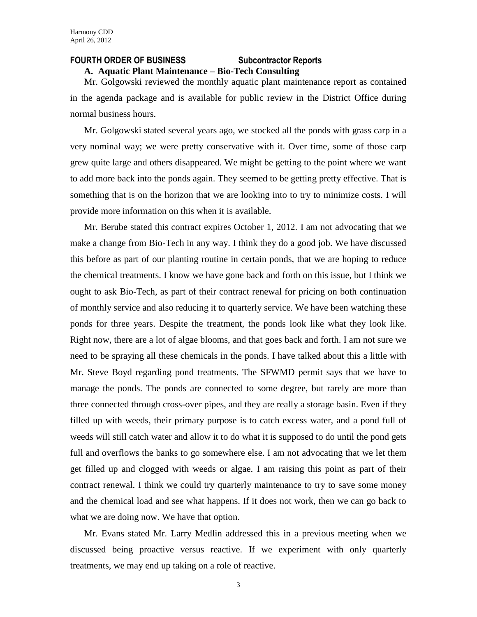#### **FOURTH ORDER OF BUSINESS Subcontractor Reports**

# **A. Aquatic Plant Maintenance – Bio-Tech Consulting**

Mr. Golgowski reviewed the monthly aquatic plant maintenance report as contained in the agenda package and is available for public review in the District Office during normal business hours.

Mr. Golgowski stated several years ago, we stocked all the ponds with grass carp in a very nominal way; we were pretty conservative with it. Over time, some of those carp grew quite large and others disappeared. We might be getting to the point where we want to add more back into the ponds again. They seemed to be getting pretty effective. That is something that is on the horizon that we are looking into to try to minimize costs. I will provide more information on this when it is available.

Mr. Berube stated this contract expires October 1, 2012. I am not advocating that we make a change from Bio-Tech in any way. I think they do a good job. We have discussed this before as part of our planting routine in certain ponds, that we are hoping to reduce the chemical treatments. I know we have gone back and forth on this issue, but I think we ought to ask Bio-Tech, as part of their contract renewal for pricing on both continuation of monthly service and also reducing it to quarterly service. We have been watching these ponds for three years. Despite the treatment, the ponds look like what they look like. Right now, there are a lot of algae blooms, and that goes back and forth. I am not sure we need to be spraying all these chemicals in the ponds. I have talked about this a little with Mr. Steve Boyd regarding pond treatments. The SFWMD permit says that we have to manage the ponds. The ponds are connected to some degree, but rarely are more than three connected through cross-over pipes, and they are really a storage basin. Even if they filled up with weeds, their primary purpose is to catch excess water, and a pond full of weeds will still catch water and allow it to do what it is supposed to do until the pond gets full and overflows the banks to go somewhere else. I am not advocating that we let them get filled up and clogged with weeds or algae. I am raising this point as part of their contract renewal. I think we could try quarterly maintenance to try to save some money and the chemical load and see what happens. If it does not work, then we can go back to what we are doing now. We have that option.

Mr. Evans stated Mr. Larry Medlin addressed this in a previous meeting when we discussed being proactive versus reactive. If we experiment with only quarterly treatments, we may end up taking on a role of reactive.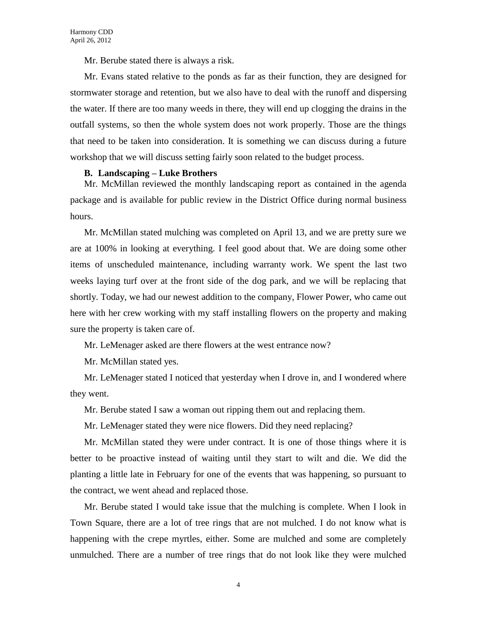Mr. Berube stated there is always a risk.

Mr. Evans stated relative to the ponds as far as their function, they are designed for stormwater storage and retention, but we also have to deal with the runoff and dispersing the water. If there are too many weeds in there, they will end up clogging the drains in the outfall systems, so then the whole system does not work properly. Those are the things that need to be taken into consideration. It is something we can discuss during a future workshop that we will discuss setting fairly soon related to the budget process.

#### **B. Landscaping – Luke Brothers**

Mr. McMillan reviewed the monthly landscaping report as contained in the agenda package and is available for public review in the District Office during normal business hours.

Mr. McMillan stated mulching was completed on April 13, and we are pretty sure we are at 100% in looking at everything. I feel good about that. We are doing some other items of unscheduled maintenance, including warranty work. We spent the last two weeks laying turf over at the front side of the dog park, and we will be replacing that shortly. Today, we had our newest addition to the company, Flower Power, who came out here with her crew working with my staff installing flowers on the property and making sure the property is taken care of.

Mr. LeMenager asked are there flowers at the west entrance now?

Mr. McMillan stated yes.

Mr. LeMenager stated I noticed that yesterday when I drove in, and I wondered where they went.

Mr. Berube stated I saw a woman out ripping them out and replacing them.

Mr. LeMenager stated they were nice flowers. Did they need replacing?

Mr. McMillan stated they were under contract. It is one of those things where it is better to be proactive instead of waiting until they start to wilt and die. We did the planting a little late in February for one of the events that was happening, so pursuant to the contract, we went ahead and replaced those.

Mr. Berube stated I would take issue that the mulching is complete. When I look in Town Square, there are a lot of tree rings that are not mulched. I do not know what is happening with the crepe myrtles, either. Some are mulched and some are completely unmulched. There are a number of tree rings that do not look like they were mulched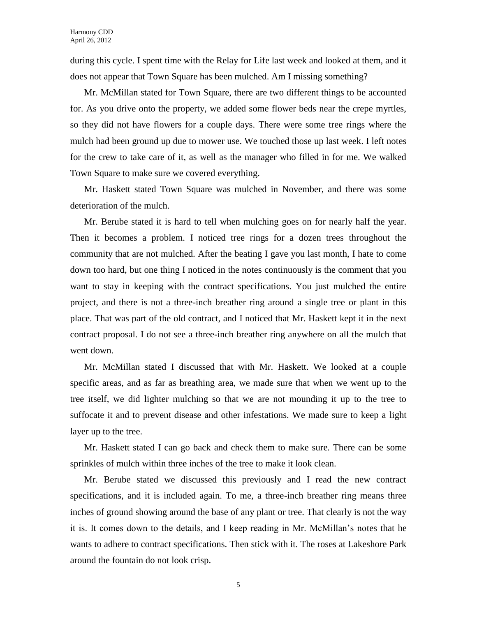during this cycle. I spent time with the Relay for Life last week and looked at them, and it does not appear that Town Square has been mulched. Am I missing something?

Mr. McMillan stated for Town Square, there are two different things to be accounted for. As you drive onto the property, we added some flower beds near the crepe myrtles, so they did not have flowers for a couple days. There were some tree rings where the mulch had been ground up due to mower use. We touched those up last week. I left notes for the crew to take care of it, as well as the manager who filled in for me. We walked Town Square to make sure we covered everything.

Mr. Haskett stated Town Square was mulched in November, and there was some deterioration of the mulch.

Mr. Berube stated it is hard to tell when mulching goes on for nearly half the year. Then it becomes a problem. I noticed tree rings for a dozen trees throughout the community that are not mulched. After the beating I gave you last month, I hate to come down too hard, but one thing I noticed in the notes continuously is the comment that you want to stay in keeping with the contract specifications. You just mulched the entire project, and there is not a three-inch breather ring around a single tree or plant in this place. That was part of the old contract, and I noticed that Mr. Haskett kept it in the next contract proposal. I do not see a three-inch breather ring anywhere on all the mulch that went down.

Mr. McMillan stated I discussed that with Mr. Haskett. We looked at a couple specific areas, and as far as breathing area, we made sure that when we went up to the tree itself, we did lighter mulching so that we are not mounding it up to the tree to suffocate it and to prevent disease and other infestations. We made sure to keep a light layer up to the tree.

Mr. Haskett stated I can go back and check them to make sure. There can be some sprinkles of mulch within three inches of the tree to make it look clean.

Mr. Berube stated we discussed this previously and I read the new contract specifications, and it is included again. To me, a three-inch breather ring means three inches of ground showing around the base of any plant or tree. That clearly is not the way it is. It comes down to the details, and I keep reading in Mr. McMillan's notes that he wants to adhere to contract specifications. Then stick with it. The roses at Lakeshore Park around the fountain do not look crisp.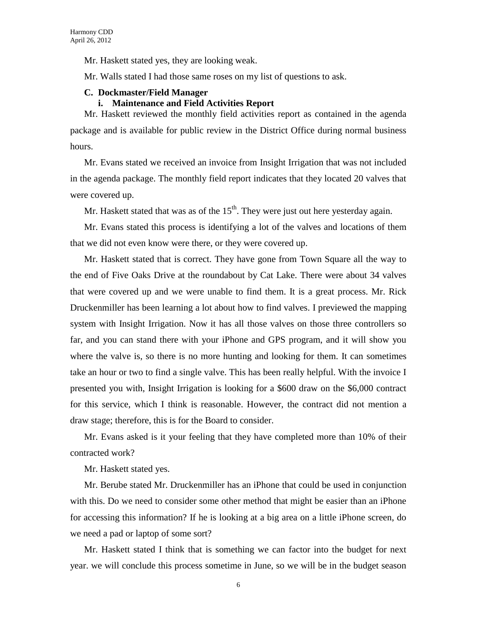Mr. Haskett stated yes, they are looking weak.

Mr. Walls stated I had those same roses on my list of questions to ask.

#### **C. Dockmaster/Field Manager**

#### **i. Maintenance and Field Activities Report**

Mr. Haskett reviewed the monthly field activities report as contained in the agenda package and is available for public review in the District Office during normal business hours.

Mr. Evans stated we received an invoice from Insight Irrigation that was not included in the agenda package. The monthly field report indicates that they located 20 valves that were covered up.

Mr. Haskett stated that was as of the  $15<sup>th</sup>$ . They were just out here yesterday again.

Mr. Evans stated this process is identifying a lot of the valves and locations of them that we did not even know were there, or they were covered up.

Mr. Haskett stated that is correct. They have gone from Town Square all the way to the end of Five Oaks Drive at the roundabout by Cat Lake. There were about 34 valves that were covered up and we were unable to find them. It is a great process. Mr. Rick Druckenmiller has been learning a lot about how to find valves. I previewed the mapping system with Insight Irrigation. Now it has all those valves on those three controllers so far, and you can stand there with your iPhone and GPS program, and it will show you where the valve is, so there is no more hunting and looking for them. It can sometimes take an hour or two to find a single valve. This has been really helpful. With the invoice I presented you with, Insight Irrigation is looking for a \$600 draw on the \$6,000 contract for this service, which I think is reasonable. However, the contract did not mention a draw stage; therefore, this is for the Board to consider.

Mr. Evans asked is it your feeling that they have completed more than 10% of their contracted work?

Mr. Haskett stated yes.

Mr. Berube stated Mr. Druckenmiller has an iPhone that could be used in conjunction with this. Do we need to consider some other method that might be easier than an iPhone for accessing this information? If he is looking at a big area on a little iPhone screen, do we need a pad or laptop of some sort?

Mr. Haskett stated I think that is something we can factor into the budget for next year. we will conclude this process sometime in June, so we will be in the budget season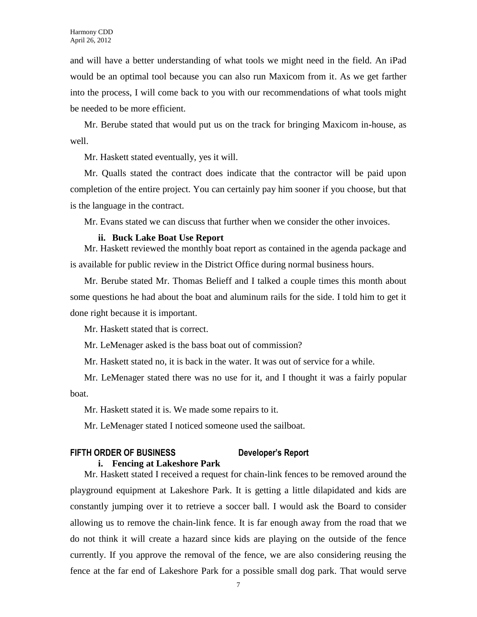and will have a better understanding of what tools we might need in the field. An iPad would be an optimal tool because you can also run Maxicom from it. As we get farther into the process, I will come back to you with our recommendations of what tools might be needed to be more efficient.

Mr. Berube stated that would put us on the track for bringing Maxicom in-house, as well.

Mr. Haskett stated eventually, yes it will.

Mr. Qualls stated the contract does indicate that the contractor will be paid upon completion of the entire project. You can certainly pay him sooner if you choose, but that is the language in the contract.

Mr. Evans stated we can discuss that further when we consider the other invoices.

#### **ii. Buck Lake Boat Use Report**

Mr. Haskett reviewed the monthly boat report as contained in the agenda package and is available for public review in the District Office during normal business hours.

Mr. Berube stated Mr. Thomas Belieff and I talked a couple times this month about some questions he had about the boat and aluminum rails for the side. I told him to get it done right because it is important.

Mr. Haskett stated that is correct.

Mr. LeMenager asked is the bass boat out of commission?

Mr. Haskett stated no, it is back in the water. It was out of service for a while.

Mr. LeMenager stated there was no use for it, and I thought it was a fairly popular boat.

Mr. Haskett stated it is. We made some repairs to it.

Mr. LeMenager stated I noticed someone used the sailboat.

# **FIFTH ORDER OF BUSINESS Developer's Report**

#### **i. Fencing at Lakeshore Park**

Mr. Haskett stated I received a request for chain-link fences to be removed around the playground equipment at Lakeshore Park. It is getting a little dilapidated and kids are constantly jumping over it to retrieve a soccer ball. I would ask the Board to consider allowing us to remove the chain-link fence. It is far enough away from the road that we do not think it will create a hazard since kids are playing on the outside of the fence currently. If you approve the removal of the fence, we are also considering reusing the fence at the far end of Lakeshore Park for a possible small dog park. That would serve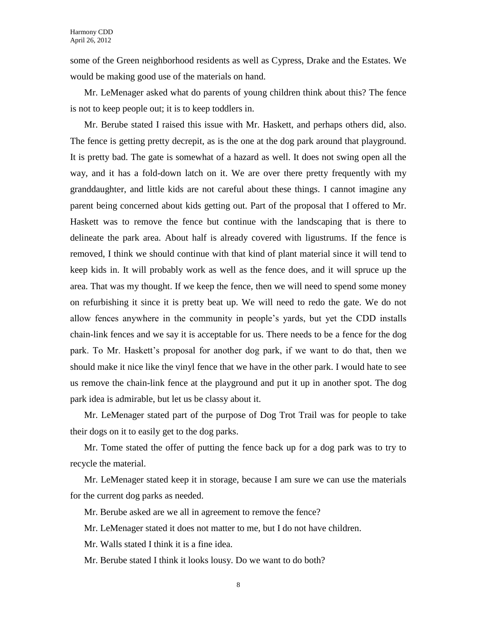some of the Green neighborhood residents as well as Cypress, Drake and the Estates. We would be making good use of the materials on hand.

Mr. LeMenager asked what do parents of young children think about this? The fence is not to keep people out; it is to keep toddlers in.

Mr. Berube stated I raised this issue with Mr. Haskett, and perhaps others did, also. The fence is getting pretty decrepit, as is the one at the dog park around that playground. It is pretty bad. The gate is somewhat of a hazard as well. It does not swing open all the way, and it has a fold-down latch on it. We are over there pretty frequently with my granddaughter, and little kids are not careful about these things. I cannot imagine any parent being concerned about kids getting out. Part of the proposal that I offered to Mr. Haskett was to remove the fence but continue with the landscaping that is there to delineate the park area. About half is already covered with ligustrums. If the fence is removed, I think we should continue with that kind of plant material since it will tend to keep kids in. It will probably work as well as the fence does, and it will spruce up the area. That was my thought. If we keep the fence, then we will need to spend some money on refurbishing it since it is pretty beat up. We will need to redo the gate. We do not allow fences anywhere in the community in people's yards, but yet the CDD installs chain-link fences and we say it is acceptable for us. There needs to be a fence for the dog park. To Mr. Haskett's proposal for another dog park, if we want to do that, then we should make it nice like the vinyl fence that we have in the other park. I would hate to see us remove the chain-link fence at the playground and put it up in another spot. The dog park idea is admirable, but let us be classy about it.

Mr. LeMenager stated part of the purpose of Dog Trot Trail was for people to take their dogs on it to easily get to the dog parks.

Mr. Tome stated the offer of putting the fence back up for a dog park was to try to recycle the material.

Mr. LeMenager stated keep it in storage, because I am sure we can use the materials for the current dog parks as needed.

Mr. Berube asked are we all in agreement to remove the fence?

Mr. LeMenager stated it does not matter to me, but I do not have children.

Mr. Walls stated I think it is a fine idea.

Mr. Berube stated I think it looks lousy. Do we want to do both?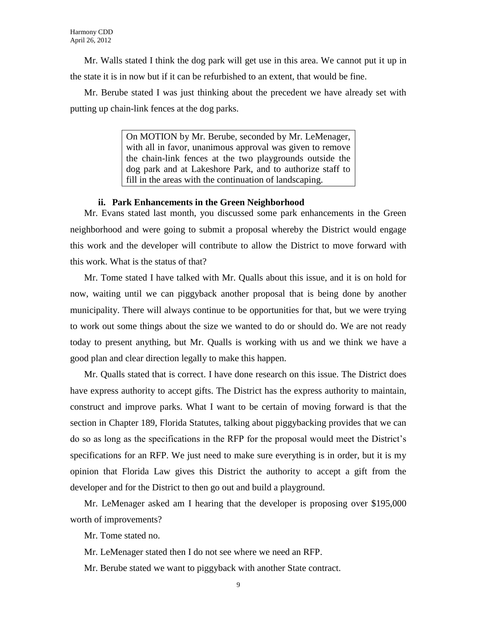Mr. Walls stated I think the dog park will get use in this area. We cannot put it up in the state it is in now but if it can be refurbished to an extent, that would be fine.

Mr. Berube stated I was just thinking about the precedent we have already set with putting up chain-link fences at the dog parks.

> On MOTION by Mr. Berube, seconded by Mr. LeMenager, with all in favor, unanimous approval was given to remove the chain-link fences at the two playgrounds outside the dog park and at Lakeshore Park, and to authorize staff to fill in the areas with the continuation of landscaping.

#### **ii. Park Enhancements in the Green Neighborhood**

Mr. Evans stated last month, you discussed some park enhancements in the Green neighborhood and were going to submit a proposal whereby the District would engage this work and the developer will contribute to allow the District to move forward with this work. What is the status of that?

Mr. Tome stated I have talked with Mr. Qualls about this issue, and it is on hold for now, waiting until we can piggyback another proposal that is being done by another municipality. There will always continue to be opportunities for that, but we were trying to work out some things about the size we wanted to do or should do. We are not ready today to present anything, but Mr. Qualls is working with us and we think we have a good plan and clear direction legally to make this happen.

Mr. Qualls stated that is correct. I have done research on this issue. The District does have express authority to accept gifts. The District has the express authority to maintain, construct and improve parks. What I want to be certain of moving forward is that the section in Chapter 189, Florida Statutes, talking about piggybacking provides that we can do so as long as the specifications in the RFP for the proposal would meet the District's specifications for an RFP. We just need to make sure everything is in order, but it is my opinion that Florida Law gives this District the authority to accept a gift from the developer and for the District to then go out and build a playground.

Mr. LeMenager asked am I hearing that the developer is proposing over \$195,000 worth of improvements?

Mr. Tome stated no.

Mr. LeMenager stated then I do not see where we need an RFP.

Mr. Berube stated we want to piggyback with another State contract.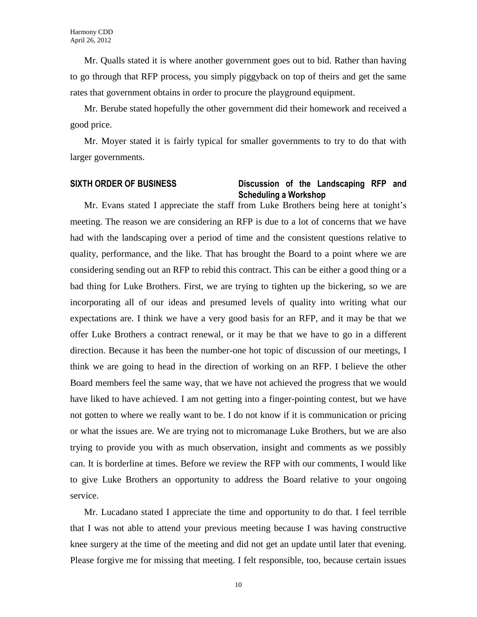Mr. Qualls stated it is where another government goes out to bid. Rather than having to go through that RFP process, you simply piggyback on top of theirs and get the same rates that government obtains in order to procure the playground equipment.

Mr. Berube stated hopefully the other government did their homework and received a good price.

Mr. Moyer stated it is fairly typical for smaller governments to try to do that with larger governments.

## **SIXTH ORDER OF BUSINESS Discussion of the Landscaping RFP and Scheduling a Workshop**

Mr. Evans stated I appreciate the staff from Luke Brothers being here at tonight's meeting. The reason we are considering an RFP is due to a lot of concerns that we have had with the landscaping over a period of time and the consistent questions relative to quality, performance, and the like. That has brought the Board to a point where we are considering sending out an RFP to rebid this contract. This can be either a good thing or a bad thing for Luke Brothers. First, we are trying to tighten up the bickering, so we are incorporating all of our ideas and presumed levels of quality into writing what our expectations are. I think we have a very good basis for an RFP, and it may be that we offer Luke Brothers a contract renewal, or it may be that we have to go in a different direction. Because it has been the number-one hot topic of discussion of our meetings, I think we are going to head in the direction of working on an RFP. I believe the other Board members feel the same way, that we have not achieved the progress that we would have liked to have achieved. I am not getting into a finger-pointing contest, but we have not gotten to where we really want to be. I do not know if it is communication or pricing or what the issues are. We are trying not to micromanage Luke Brothers, but we are also trying to provide you with as much observation, insight and comments as we possibly can. It is borderline at times. Before we review the RFP with our comments, I would like to give Luke Brothers an opportunity to address the Board relative to your ongoing service.

Mr. Lucadano stated I appreciate the time and opportunity to do that. I feel terrible that I was not able to attend your previous meeting because I was having constructive knee surgery at the time of the meeting and did not get an update until later that evening. Please forgive me for missing that meeting. I felt responsible, too, because certain issues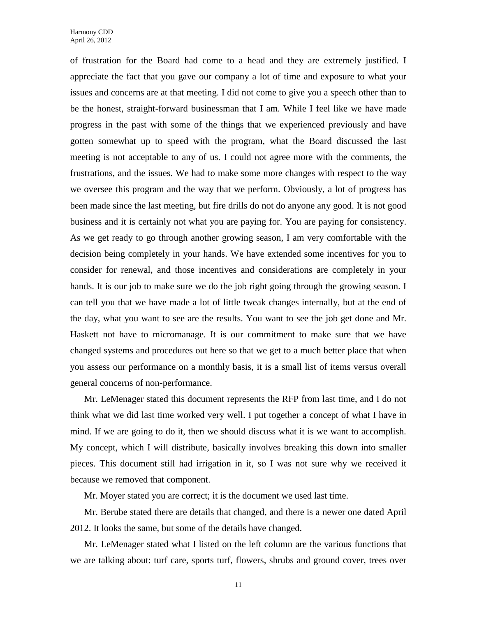of frustration for the Board had come to a head and they are extremely justified. I appreciate the fact that you gave our company a lot of time and exposure to what your issues and concerns are at that meeting. I did not come to give you a speech other than to be the honest, straight-forward businessman that I am. While I feel like we have made progress in the past with some of the things that we experienced previously and have gotten somewhat up to speed with the program, what the Board discussed the last meeting is not acceptable to any of us. I could not agree more with the comments, the frustrations, and the issues. We had to make some more changes with respect to the way we oversee this program and the way that we perform. Obviously, a lot of progress has been made since the last meeting, but fire drills do not do anyone any good. It is not good business and it is certainly not what you are paying for. You are paying for consistency. As we get ready to go through another growing season, I am very comfortable with the decision being completely in your hands. We have extended some incentives for you to consider for renewal, and those incentives and considerations are completely in your hands. It is our job to make sure we do the job right going through the growing season. I can tell you that we have made a lot of little tweak changes internally, but at the end of the day, what you want to see are the results. You want to see the job get done and Mr. Haskett not have to micromanage. It is our commitment to make sure that we have changed systems and procedures out here so that we get to a much better place that when you assess our performance on a monthly basis, it is a small list of items versus overall general concerns of non-performance.

Mr. LeMenager stated this document represents the RFP from last time, and I do not think what we did last time worked very well. I put together a concept of what I have in mind. If we are going to do it, then we should discuss what it is we want to accomplish. My concept, which I will distribute, basically involves breaking this down into smaller pieces. This document still had irrigation in it, so I was not sure why we received it because we removed that component.

Mr. Moyer stated you are correct; it is the document we used last time.

Mr. Berube stated there are details that changed, and there is a newer one dated April 2012. It looks the same, but some of the details have changed.

Mr. LeMenager stated what I listed on the left column are the various functions that we are talking about: turf care, sports turf, flowers, shrubs and ground cover, trees over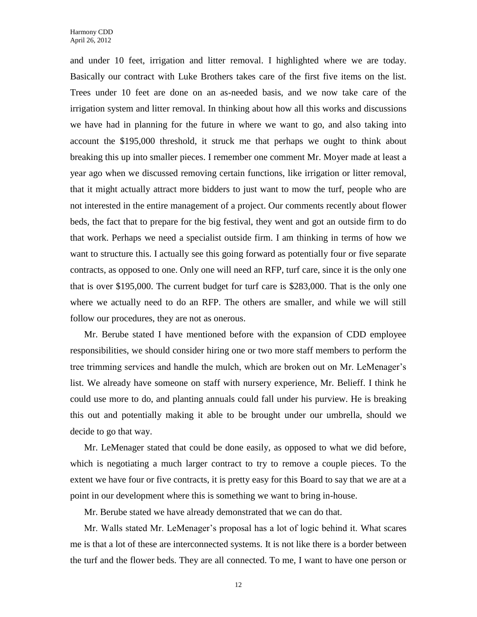and under 10 feet, irrigation and litter removal. I highlighted where we are today. Basically our contract with Luke Brothers takes care of the first five items on the list. Trees under 10 feet are done on an as-needed basis, and we now take care of the irrigation system and litter removal. In thinking about how all this works and discussions we have had in planning for the future in where we want to go, and also taking into account the \$195,000 threshold, it struck me that perhaps we ought to think about breaking this up into smaller pieces. I remember one comment Mr. Moyer made at least a year ago when we discussed removing certain functions, like irrigation or litter removal, that it might actually attract more bidders to just want to mow the turf, people who are not interested in the entire management of a project. Our comments recently about flower beds, the fact that to prepare for the big festival, they went and got an outside firm to do that work. Perhaps we need a specialist outside firm. I am thinking in terms of how we want to structure this. I actually see this going forward as potentially four or five separate contracts, as opposed to one. Only one will need an RFP, turf care, since it is the only one that is over \$195,000. The current budget for turf care is \$283,000. That is the only one where we actually need to do an RFP. The others are smaller, and while we will still follow our procedures, they are not as onerous.

Mr. Berube stated I have mentioned before with the expansion of CDD employee responsibilities, we should consider hiring one or two more staff members to perform the tree trimming services and handle the mulch, which are broken out on Mr. LeMenager's list. We already have someone on staff with nursery experience, Mr. Belieff. I think he could use more to do, and planting annuals could fall under his purview. He is breaking this out and potentially making it able to be brought under our umbrella, should we decide to go that way.

Mr. LeMenager stated that could be done easily, as opposed to what we did before, which is negotiating a much larger contract to try to remove a couple pieces. To the extent we have four or five contracts, it is pretty easy for this Board to say that we are at a point in our development where this is something we want to bring in-house.

Mr. Berube stated we have already demonstrated that we can do that.

Mr. Walls stated Mr. LeMenager's proposal has a lot of logic behind it. What scares me is that a lot of these are interconnected systems. It is not like there is a border between the turf and the flower beds. They are all connected. To me, I want to have one person or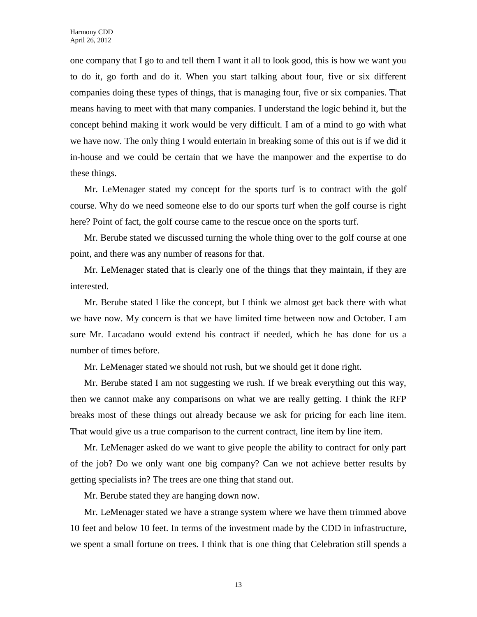one company that I go to and tell them I want it all to look good, this is how we want you to do it, go forth and do it. When you start talking about four, five or six different companies doing these types of things, that is managing four, five or six companies. That means having to meet with that many companies. I understand the logic behind it, but the concept behind making it work would be very difficult. I am of a mind to go with what we have now. The only thing I would entertain in breaking some of this out is if we did it in-house and we could be certain that we have the manpower and the expertise to do these things.

Mr. LeMenager stated my concept for the sports turf is to contract with the golf course. Why do we need someone else to do our sports turf when the golf course is right here? Point of fact, the golf course came to the rescue once on the sports turf.

Mr. Berube stated we discussed turning the whole thing over to the golf course at one point, and there was any number of reasons for that.

Mr. LeMenager stated that is clearly one of the things that they maintain, if they are interested.

Mr. Berube stated I like the concept, but I think we almost get back there with what we have now. My concern is that we have limited time between now and October. I am sure Mr. Lucadano would extend his contract if needed, which he has done for us a number of times before.

Mr. LeMenager stated we should not rush, but we should get it done right.

Mr. Berube stated I am not suggesting we rush. If we break everything out this way, then we cannot make any comparisons on what we are really getting. I think the RFP breaks most of these things out already because we ask for pricing for each line item. That would give us a true comparison to the current contract, line item by line item.

Mr. LeMenager asked do we want to give people the ability to contract for only part of the job? Do we only want one big company? Can we not achieve better results by getting specialists in? The trees are one thing that stand out.

Mr. Berube stated they are hanging down now.

Mr. LeMenager stated we have a strange system where we have them trimmed above 10 feet and below 10 feet. In terms of the investment made by the CDD in infrastructure, we spent a small fortune on trees. I think that is one thing that Celebration still spends a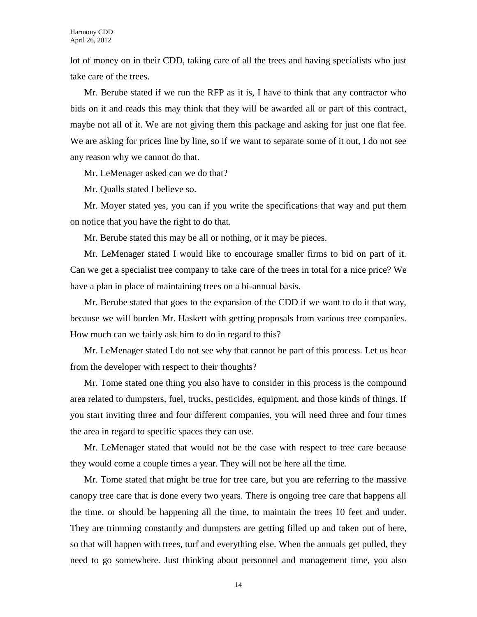lot of money on in their CDD, taking care of all the trees and having specialists who just take care of the trees.

Mr. Berube stated if we run the RFP as it is, I have to think that any contractor who bids on it and reads this may think that they will be awarded all or part of this contract, maybe not all of it. We are not giving them this package and asking for just one flat fee. We are asking for prices line by line, so if we want to separate some of it out, I do not see any reason why we cannot do that.

Mr. LeMenager asked can we do that?

Mr. Qualls stated I believe so.

Mr. Moyer stated yes, you can if you write the specifications that way and put them on notice that you have the right to do that.

Mr. Berube stated this may be all or nothing, or it may be pieces.

Mr. LeMenager stated I would like to encourage smaller firms to bid on part of it. Can we get a specialist tree company to take care of the trees in total for a nice price? We have a plan in place of maintaining trees on a bi-annual basis.

Mr. Berube stated that goes to the expansion of the CDD if we want to do it that way, because we will burden Mr. Haskett with getting proposals from various tree companies. How much can we fairly ask him to do in regard to this?

Mr. LeMenager stated I do not see why that cannot be part of this process. Let us hear from the developer with respect to their thoughts?

Mr. Tome stated one thing you also have to consider in this process is the compound area related to dumpsters, fuel, trucks, pesticides, equipment, and those kinds of things. If you start inviting three and four different companies, you will need three and four times the area in regard to specific spaces they can use.

Mr. LeMenager stated that would not be the case with respect to tree care because they would come a couple times a year. They will not be here all the time.

Mr. Tome stated that might be true for tree care, but you are referring to the massive canopy tree care that is done every two years. There is ongoing tree care that happens all the time, or should be happening all the time, to maintain the trees 10 feet and under. They are trimming constantly and dumpsters are getting filled up and taken out of here, so that will happen with trees, turf and everything else. When the annuals get pulled, they need to go somewhere. Just thinking about personnel and management time, you also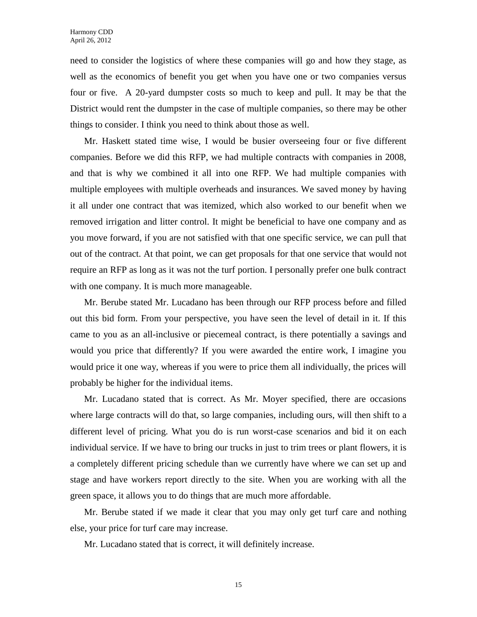need to consider the logistics of where these companies will go and how they stage, as well as the economics of benefit you get when you have one or two companies versus four or five. A 20-yard dumpster costs so much to keep and pull. It may be that the District would rent the dumpster in the case of multiple companies, so there may be other things to consider. I think you need to think about those as well.

Mr. Haskett stated time wise, I would be busier overseeing four or five different companies. Before we did this RFP, we had multiple contracts with companies in 2008, and that is why we combined it all into one RFP. We had multiple companies with multiple employees with multiple overheads and insurances. We saved money by having it all under one contract that was itemized, which also worked to our benefit when we removed irrigation and litter control. It might be beneficial to have one company and as you move forward, if you are not satisfied with that one specific service, we can pull that out of the contract. At that point, we can get proposals for that one service that would not require an RFP as long as it was not the turf portion. I personally prefer one bulk contract with one company. It is much more manageable.

Mr. Berube stated Mr. Lucadano has been through our RFP process before and filled out this bid form. From your perspective, you have seen the level of detail in it. If this came to you as an all-inclusive or piecemeal contract, is there potentially a savings and would you price that differently? If you were awarded the entire work, I imagine you would price it one way, whereas if you were to price them all individually, the prices will probably be higher for the individual items.

Mr. Lucadano stated that is correct. As Mr. Moyer specified, there are occasions where large contracts will do that, so large companies, including ours, will then shift to a different level of pricing. What you do is run worst-case scenarios and bid it on each individual service. If we have to bring our trucks in just to trim trees or plant flowers, it is a completely different pricing schedule than we currently have where we can set up and stage and have workers report directly to the site. When you are working with all the green space, it allows you to do things that are much more affordable.

Mr. Berube stated if we made it clear that you may only get turf care and nothing else, your price for turf care may increase.

Mr. Lucadano stated that is correct, it will definitely increase.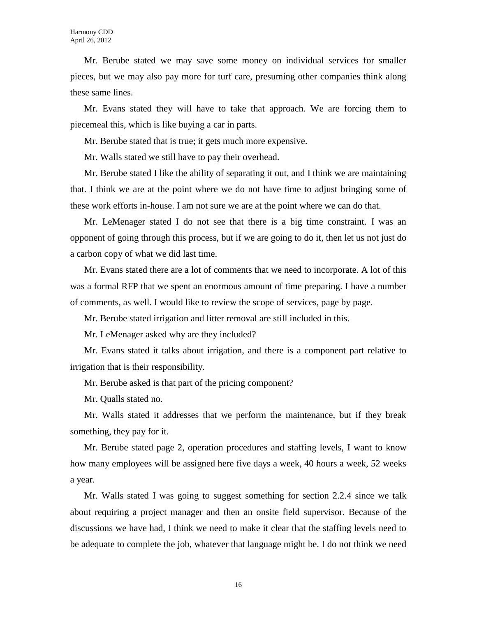Mr. Berube stated we may save some money on individual services for smaller pieces, but we may also pay more for turf care, presuming other companies think along these same lines.

Mr. Evans stated they will have to take that approach. We are forcing them to piecemeal this, which is like buying a car in parts.

Mr. Berube stated that is true; it gets much more expensive.

Mr. Walls stated we still have to pay their overhead.

Mr. Berube stated I like the ability of separating it out, and I think we are maintaining that. I think we are at the point where we do not have time to adjust bringing some of these work efforts in-house. I am not sure we are at the point where we can do that.

Mr. LeMenager stated I do not see that there is a big time constraint. I was an opponent of going through this process, but if we are going to do it, then let us not just do a carbon copy of what we did last time.

Mr. Evans stated there are a lot of comments that we need to incorporate. A lot of this was a formal RFP that we spent an enormous amount of time preparing. I have a number of comments, as well. I would like to review the scope of services, page by page.

Mr. Berube stated irrigation and litter removal are still included in this.

Mr. LeMenager asked why are they included?

Mr. Evans stated it talks about irrigation, and there is a component part relative to irrigation that is their responsibility.

Mr. Berube asked is that part of the pricing component?

Mr. Qualls stated no.

Mr. Walls stated it addresses that we perform the maintenance, but if they break something, they pay for it.

Mr. Berube stated page 2, operation procedures and staffing levels, I want to know how many employees will be assigned here five days a week, 40 hours a week, 52 weeks a year.

Mr. Walls stated I was going to suggest something for section 2.2.4 since we talk about requiring a project manager and then an onsite field supervisor. Because of the discussions we have had, I think we need to make it clear that the staffing levels need to be adequate to complete the job, whatever that language might be. I do not think we need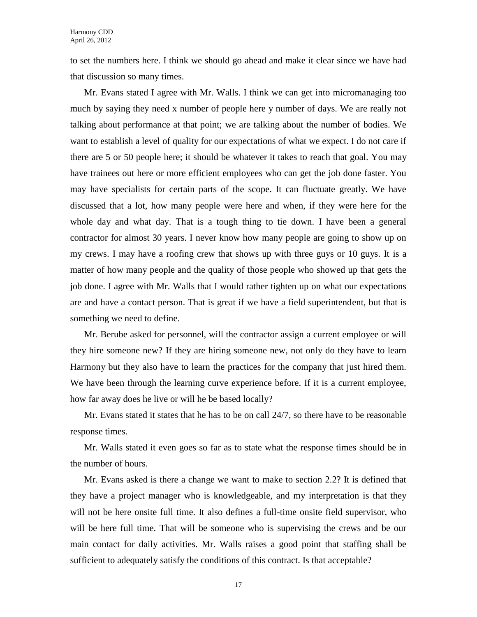to set the numbers here. I think we should go ahead and make it clear since we have had that discussion so many times.

Mr. Evans stated I agree with Mr. Walls. I think we can get into micromanaging too much by saying they need x number of people here y number of days. We are really not talking about performance at that point; we are talking about the number of bodies. We want to establish a level of quality for our expectations of what we expect. I do not care if there are 5 or 50 people here; it should be whatever it takes to reach that goal. You may have trainees out here or more efficient employees who can get the job done faster. You may have specialists for certain parts of the scope. It can fluctuate greatly. We have discussed that a lot, how many people were here and when, if they were here for the whole day and what day. That is a tough thing to tie down. I have been a general contractor for almost 30 years. I never know how many people are going to show up on my crews. I may have a roofing crew that shows up with three guys or 10 guys. It is a matter of how many people and the quality of those people who showed up that gets the job done. I agree with Mr. Walls that I would rather tighten up on what our expectations are and have a contact person. That is great if we have a field superintendent, but that is something we need to define.

Mr. Berube asked for personnel, will the contractor assign a current employee or will they hire someone new? If they are hiring someone new, not only do they have to learn Harmony but they also have to learn the practices for the company that just hired them. We have been through the learning curve experience before. If it is a current employee, how far away does he live or will he be based locally?

Mr. Evans stated it states that he has to be on call 24/7, so there have to be reasonable response times.

Mr. Walls stated it even goes so far as to state what the response times should be in the number of hours.

Mr. Evans asked is there a change we want to make to section 2.2? It is defined that they have a project manager who is knowledgeable, and my interpretation is that they will not be here onsite full time. It also defines a full-time onsite field supervisor, who will be here full time. That will be someone who is supervising the crews and be our main contact for daily activities. Mr. Walls raises a good point that staffing shall be sufficient to adequately satisfy the conditions of this contract. Is that acceptable?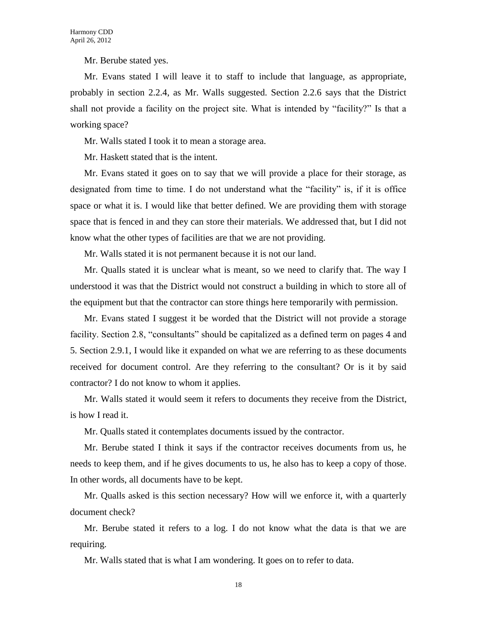Mr. Berube stated yes.

Mr. Evans stated I will leave it to staff to include that language, as appropriate, probably in section 2.2.4, as Mr. Walls suggested. Section 2.2.6 says that the District shall not provide a facility on the project site. What is intended by "facility?" Is that a working space?

Mr. Walls stated I took it to mean a storage area.

Mr. Haskett stated that is the intent.

Mr. Evans stated it goes on to say that we will provide a place for their storage, as designated from time to time. I do not understand what the "facility" is, if it is office space or what it is. I would like that better defined. We are providing them with storage space that is fenced in and they can store their materials. We addressed that, but I did not know what the other types of facilities are that we are not providing.

Mr. Walls stated it is not permanent because it is not our land.

Mr. Qualls stated it is unclear what is meant, so we need to clarify that. The way I understood it was that the District would not construct a building in which to store all of the equipment but that the contractor can store things here temporarily with permission.

Mr. Evans stated I suggest it be worded that the District will not provide a storage facility. Section 2.8, "consultants" should be capitalized as a defined term on pages 4 and 5. Section 2.9.1, I would like it expanded on what we are referring to as these documents received for document control. Are they referring to the consultant? Or is it by said contractor? I do not know to whom it applies.

Mr. Walls stated it would seem it refers to documents they receive from the District, is how I read it.

Mr. Qualls stated it contemplates documents issued by the contractor.

Mr. Berube stated I think it says if the contractor receives documents from us, he needs to keep them, and if he gives documents to us, he also has to keep a copy of those. In other words, all documents have to be kept.

Mr. Qualls asked is this section necessary? How will we enforce it, with a quarterly document check?

Mr. Berube stated it refers to a log. I do not know what the data is that we are requiring.

Mr. Walls stated that is what I am wondering. It goes on to refer to data.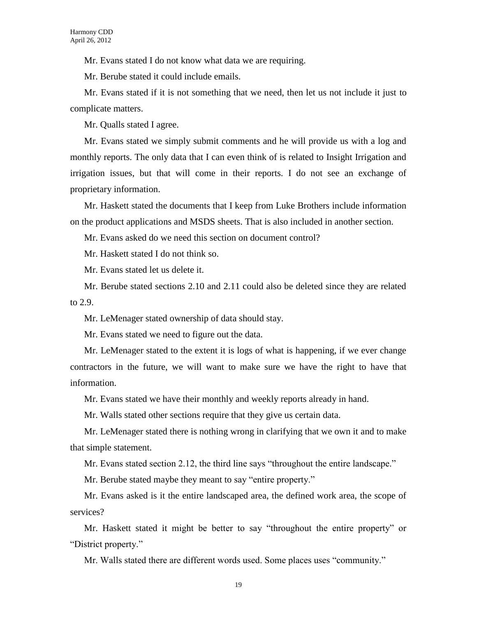Mr. Evans stated I do not know what data we are requiring.

Mr. Berube stated it could include emails.

Mr. Evans stated if it is not something that we need, then let us not include it just to complicate matters.

Mr. Qualls stated I agree.

Mr. Evans stated we simply submit comments and he will provide us with a log and monthly reports. The only data that I can even think of is related to Insight Irrigation and irrigation issues, but that will come in their reports. I do not see an exchange of proprietary information.

Mr. Haskett stated the documents that I keep from Luke Brothers include information on the product applications and MSDS sheets. That is also included in another section.

Mr. Evans asked do we need this section on document control?

Mr. Haskett stated I do not think so.

Mr. Evans stated let us delete it.

Mr. Berube stated sections 2.10 and 2.11 could also be deleted since they are related to 2.9.

Mr. LeMenager stated ownership of data should stay.

Mr. Evans stated we need to figure out the data.

Mr. LeMenager stated to the extent it is logs of what is happening, if we ever change contractors in the future, we will want to make sure we have the right to have that information.

Mr. Evans stated we have their monthly and weekly reports already in hand.

Mr. Walls stated other sections require that they give us certain data.

Mr. LeMenager stated there is nothing wrong in clarifying that we own it and to make that simple statement.

Mr. Evans stated section 2.12, the third line says "throughout the entire landscape."

Mr. Berube stated maybe they meant to say "entire property."

Mr. Evans asked is it the entire landscaped area, the defined work area, the scope of services?

Mr. Haskett stated it might be better to say "throughout the entire property" or "District property."

Mr. Walls stated there are different words used. Some places uses "community."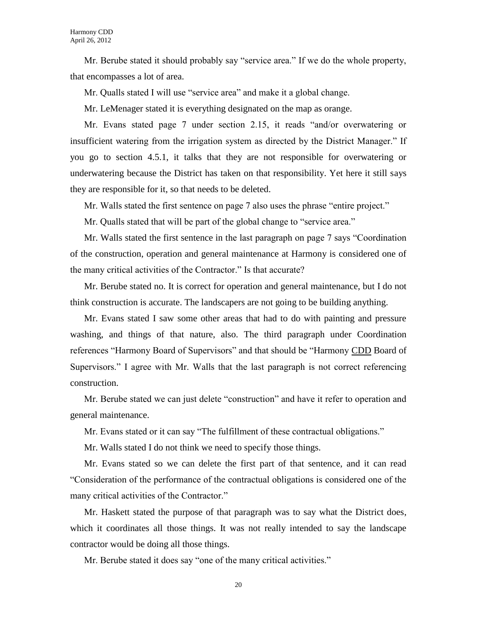Mr. Berube stated it should probably say "service area." If we do the whole property, that encompasses a lot of area.

Mr. Qualls stated I will use "service area" and make it a global change.

Mr. LeMenager stated it is everything designated on the map as orange.

Mr. Evans stated page 7 under section 2.15, it reads "and/or overwatering or insufficient watering from the irrigation system as directed by the District Manager." If you go to section 4.5.1, it talks that they are not responsible for overwatering or underwatering because the District has taken on that responsibility. Yet here it still says they are responsible for it, so that needs to be deleted.

Mr. Walls stated the first sentence on page 7 also uses the phrase "entire project."

Mr. Qualls stated that will be part of the global change to "service area."

Mr. Walls stated the first sentence in the last paragraph on page 7 says "Coordination of the construction, operation and general maintenance at Harmony is considered one of the many critical activities of the Contractor." Is that accurate?

Mr. Berube stated no. It is correct for operation and general maintenance, but I do not think construction is accurate. The landscapers are not going to be building anything.

Mr. Evans stated I saw some other areas that had to do with painting and pressure washing, and things of that nature, also. The third paragraph under Coordination references "Harmony Board of Supervisors" and that should be "Harmony CDD Board of Supervisors." I agree with Mr. Walls that the last paragraph is not correct referencing construction.

Mr. Berube stated we can just delete "construction" and have it refer to operation and general maintenance.

Mr. Evans stated or it can say "The fulfillment of these contractual obligations."

Mr. Walls stated I do not think we need to specify those things.

Mr. Evans stated so we can delete the first part of that sentence, and it can read "Consideration of the performance of the contractual obligations is considered one of the many critical activities of the Contractor."

Mr. Haskett stated the purpose of that paragraph was to say what the District does, which it coordinates all those things. It was not really intended to say the landscape contractor would be doing all those things.

Mr. Berube stated it does say "one of the many critical activities."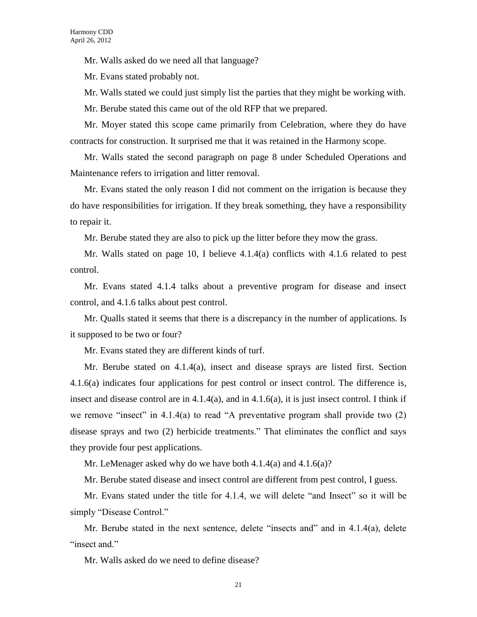Mr. Walls asked do we need all that language?

Mr. Evans stated probably not.

Mr. Walls stated we could just simply list the parties that they might be working with.

Mr. Berube stated this came out of the old RFP that we prepared.

Mr. Moyer stated this scope came primarily from Celebration, where they do have contracts for construction. It surprised me that it was retained in the Harmony scope.

Mr. Walls stated the second paragraph on page 8 under Scheduled Operations and Maintenance refers to irrigation and litter removal.

Mr. Evans stated the only reason I did not comment on the irrigation is because they do have responsibilities for irrigation. If they break something, they have a responsibility to repair it.

Mr. Berube stated they are also to pick up the litter before they mow the grass.

Mr. Walls stated on page 10, I believe 4.1.4(a) conflicts with 4.1.6 related to pest control.

Mr. Evans stated 4.1.4 talks about a preventive program for disease and insect control, and 4.1.6 talks about pest control.

Mr. Qualls stated it seems that there is a discrepancy in the number of applications. Is it supposed to be two or four?

Mr. Evans stated they are different kinds of turf.

Mr. Berube stated on 4.1.4(a), insect and disease sprays are listed first. Section 4.1.6(a) indicates four applications for pest control or insect control. The difference is, insect and disease control are in 4.1.4(a), and in 4.1.6(a), it is just insect control. I think if we remove "insect" in 4.1.4(a) to read "A preventative program shall provide two (2) disease sprays and two (2) herbicide treatments." That eliminates the conflict and says they provide four pest applications.

Mr. LeMenager asked why do we have both 4.1.4(a) and 4.1.6(a)?

Mr. Berube stated disease and insect control are different from pest control, I guess.

Mr. Evans stated under the title for 4.1.4, we will delete "and Insect" so it will be simply "Disease Control."

Mr. Berube stated in the next sentence, delete "insects and" and in 4.1.4(a), delete "insect and."

Mr. Walls asked do we need to define disease?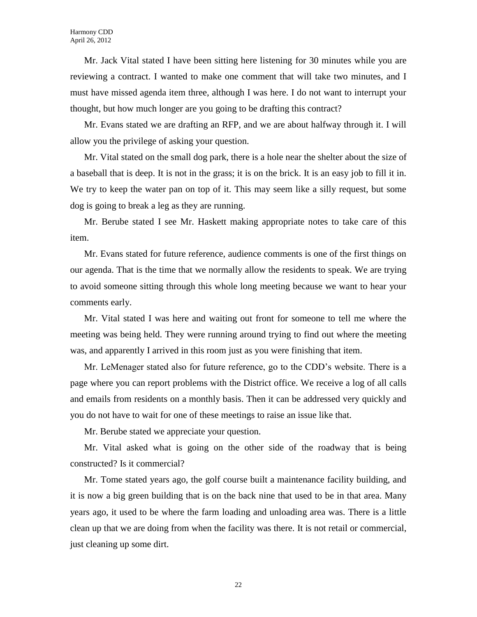Mr. Jack Vital stated I have been sitting here listening for 30 minutes while you are reviewing a contract. I wanted to make one comment that will take two minutes, and I must have missed agenda item three, although I was here. I do not want to interrupt your thought, but how much longer are you going to be drafting this contract?

Mr. Evans stated we are drafting an RFP, and we are about halfway through it. I will allow you the privilege of asking your question.

Mr. Vital stated on the small dog park, there is a hole near the shelter about the size of a baseball that is deep. It is not in the grass; it is on the brick. It is an easy job to fill it in. We try to keep the water pan on top of it. This may seem like a silly request, but some dog is going to break a leg as they are running.

Mr. Berube stated I see Mr. Haskett making appropriate notes to take care of this item.

Mr. Evans stated for future reference, audience comments is one of the first things on our agenda. That is the time that we normally allow the residents to speak. We are trying to avoid someone sitting through this whole long meeting because we want to hear your comments early.

Mr. Vital stated I was here and waiting out front for someone to tell me where the meeting was being held. They were running around trying to find out where the meeting was, and apparently I arrived in this room just as you were finishing that item.

Mr. LeMenager stated also for future reference, go to the CDD's website. There is a page where you can report problems with the District office. We receive a log of all calls and emails from residents on a monthly basis. Then it can be addressed very quickly and you do not have to wait for one of these meetings to raise an issue like that.

Mr. Berube stated we appreciate your question.

Mr. Vital asked what is going on the other side of the roadway that is being constructed? Is it commercial?

Mr. Tome stated years ago, the golf course built a maintenance facility building, and it is now a big green building that is on the back nine that used to be in that area. Many years ago, it used to be where the farm loading and unloading area was. There is a little clean up that we are doing from when the facility was there. It is not retail or commercial, just cleaning up some dirt.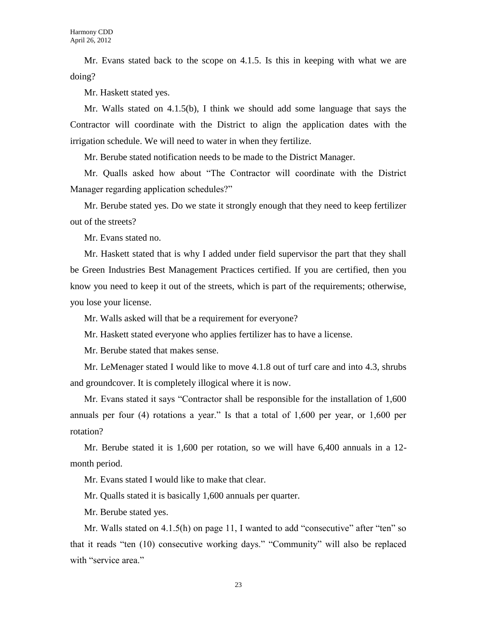Mr. Evans stated back to the scope on 4.1.5. Is this in keeping with what we are doing?

Mr. Haskett stated yes.

Mr. Walls stated on 4.1.5(b), I think we should add some language that says the Contractor will coordinate with the District to align the application dates with the irrigation schedule. We will need to water in when they fertilize.

Mr. Berube stated notification needs to be made to the District Manager.

Mr. Qualls asked how about "The Contractor will coordinate with the District Manager regarding application schedules?"

Mr. Berube stated yes. Do we state it strongly enough that they need to keep fertilizer out of the streets?

Mr. Evans stated no.

Mr. Haskett stated that is why I added under field supervisor the part that they shall be Green Industries Best Management Practices certified. If you are certified, then you know you need to keep it out of the streets, which is part of the requirements; otherwise, you lose your license.

Mr. Walls asked will that be a requirement for everyone?

Mr. Haskett stated everyone who applies fertilizer has to have a license.

Mr. Berube stated that makes sense.

Mr. LeMenager stated I would like to move 4.1.8 out of turf care and into 4.3, shrubs and groundcover. It is completely illogical where it is now.

Mr. Evans stated it says "Contractor shall be responsible for the installation of 1,600 annuals per four (4) rotations a year." Is that a total of 1,600 per year, or 1,600 per rotation?

Mr. Berube stated it is 1,600 per rotation, so we will have 6,400 annuals in a 12 month period.

Mr. Evans stated I would like to make that clear.

Mr. Qualls stated it is basically 1,600 annuals per quarter.

Mr. Berube stated yes.

Mr. Walls stated on 4.1.5(h) on page 11, I wanted to add "consecutive" after "ten" so that it reads "ten (10) consecutive working days." "Community" will also be replaced with "service area."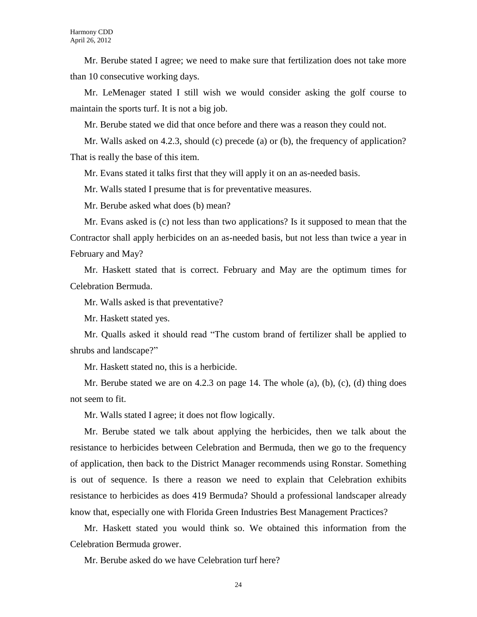Mr. Berube stated I agree; we need to make sure that fertilization does not take more than 10 consecutive working days.

Mr. LeMenager stated I still wish we would consider asking the golf course to maintain the sports turf. It is not a big job.

Mr. Berube stated we did that once before and there was a reason they could not.

Mr. Walls asked on 4.2.3, should (c) precede (a) or (b), the frequency of application? That is really the base of this item.

Mr. Evans stated it talks first that they will apply it on an as-needed basis.

Mr. Walls stated I presume that is for preventative measures.

Mr. Berube asked what does (b) mean?

Mr. Evans asked is (c) not less than two applications? Is it supposed to mean that the Contractor shall apply herbicides on an as-needed basis, but not less than twice a year in February and May?

Mr. Haskett stated that is correct. February and May are the optimum times for Celebration Bermuda.

Mr. Walls asked is that preventative?

Mr. Haskett stated yes.

Mr. Qualls asked it should read "The custom brand of fertilizer shall be applied to shrubs and landscape?"

Mr. Haskett stated no, this is a herbicide.

Mr. Berube stated we are on 4.2.3 on page 14. The whole  $(a)$ ,  $(b)$ ,  $(c)$ ,  $(d)$  thing does not seem to fit.

Mr. Walls stated I agree; it does not flow logically.

Mr. Berube stated we talk about applying the herbicides, then we talk about the resistance to herbicides between Celebration and Bermuda, then we go to the frequency of application, then back to the District Manager recommends using Ronstar. Something is out of sequence. Is there a reason we need to explain that Celebration exhibits resistance to herbicides as does 419 Bermuda? Should a professional landscaper already know that, especially one with Florida Green Industries Best Management Practices?

Mr. Haskett stated you would think so. We obtained this information from the Celebration Bermuda grower.

Mr. Berube asked do we have Celebration turf here?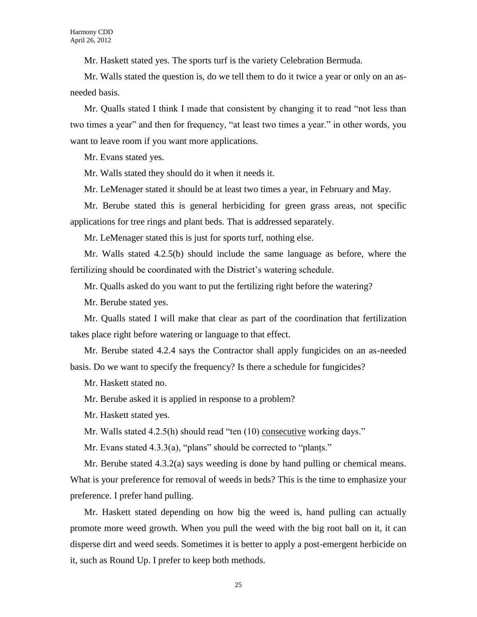Mr. Haskett stated yes. The sports turf is the variety Celebration Bermuda.

Mr. Walls stated the question is, do we tell them to do it twice a year or only on an asneeded basis.

Mr. Qualls stated I think I made that consistent by changing it to read "not less than two times a year" and then for frequency, "at least two times a year." in other words, you want to leave room if you want more applications.

Mr. Evans stated yes.

Mr. Walls stated they should do it when it needs it.

Mr. LeMenager stated it should be at least two times a year, in February and May.

Mr. Berube stated this is general herbiciding for green grass areas, not specific applications for tree rings and plant beds. That is addressed separately.

Mr. LeMenager stated this is just for sports turf, nothing else.

Mr. Walls stated 4.2.5(b) should include the same language as before, where the fertilizing should be coordinated with the District's watering schedule.

Mr. Qualls asked do you want to put the fertilizing right before the watering?

Mr. Berube stated yes.

Mr. Qualls stated I will make that clear as part of the coordination that fertilization takes place right before watering or language to that effect.

Mr. Berube stated 4.2.4 says the Contractor shall apply fungicides on an as-needed basis. Do we want to specify the frequency? Is there a schedule for fungicides?

Mr. Haskett stated no.

Mr. Berube asked it is applied in response to a problem?

Mr. Haskett stated yes.

Mr. Walls stated 4.2.5(h) should read "ten (10) consecutive working days."

Mr. Evans stated 4.3.3(a), "plans" should be corrected to "plants."

Mr. Berube stated 4.3.2(a) says weeding is done by hand pulling or chemical means. What is your preference for removal of weeds in beds? This is the time to emphasize your preference. I prefer hand pulling.

Mr. Haskett stated depending on how big the weed is, hand pulling can actually promote more weed growth. When you pull the weed with the big root ball on it, it can disperse dirt and weed seeds. Sometimes it is better to apply a post-emergent herbicide on it, such as Round Up. I prefer to keep both methods.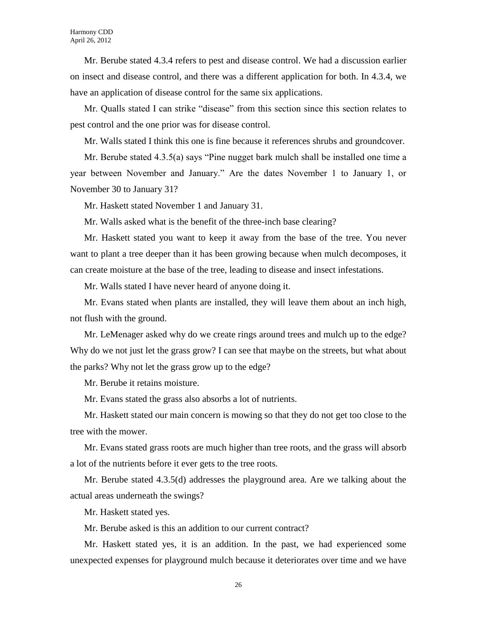Mr. Berube stated 4.3.4 refers to pest and disease control. We had a discussion earlier on insect and disease control, and there was a different application for both. In 4.3.4, we have an application of disease control for the same six applications.

Mr. Qualls stated I can strike "disease" from this section since this section relates to pest control and the one prior was for disease control.

Mr. Walls stated I think this one is fine because it references shrubs and groundcover.

Mr. Berube stated 4.3.5(a) says "Pine nugget bark mulch shall be installed one time a year between November and January." Are the dates November 1 to January 1, or November 30 to January 31?

Mr. Haskett stated November 1 and January 31.

Mr. Walls asked what is the benefit of the three-inch base clearing?

Mr. Haskett stated you want to keep it away from the base of the tree. You never want to plant a tree deeper than it has been growing because when mulch decomposes, it can create moisture at the base of the tree, leading to disease and insect infestations.

Mr. Walls stated I have never heard of anyone doing it.

Mr. Evans stated when plants are installed, they will leave them about an inch high, not flush with the ground.

Mr. LeMenager asked why do we create rings around trees and mulch up to the edge? Why do we not just let the grass grow? I can see that maybe on the streets, but what about the parks? Why not let the grass grow up to the edge?

Mr. Berube it retains moisture.

Mr. Evans stated the grass also absorbs a lot of nutrients.

Mr. Haskett stated our main concern is mowing so that they do not get too close to the tree with the mower.

Mr. Evans stated grass roots are much higher than tree roots, and the grass will absorb a lot of the nutrients before it ever gets to the tree roots.

Mr. Berube stated 4.3.5(d) addresses the playground area. Are we talking about the actual areas underneath the swings?

Mr. Haskett stated yes.

Mr. Berube asked is this an addition to our current contract?

Mr. Haskett stated yes, it is an addition. In the past, we had experienced some unexpected expenses for playground mulch because it deteriorates over time and we have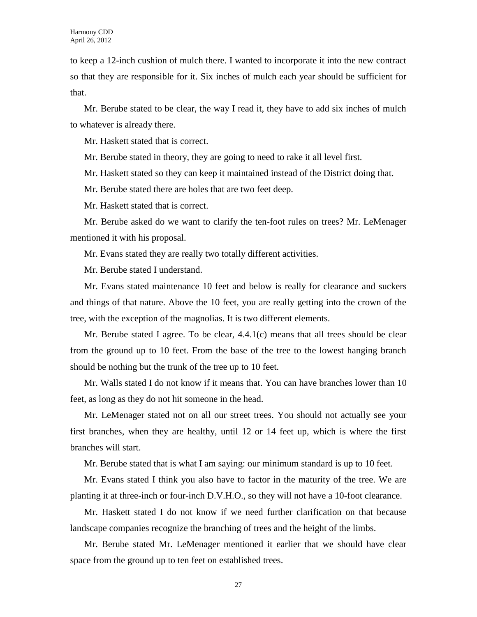to keep a 12-inch cushion of mulch there. I wanted to incorporate it into the new contract so that they are responsible for it. Six inches of mulch each year should be sufficient for that.

Mr. Berube stated to be clear, the way I read it, they have to add six inches of mulch to whatever is already there.

Mr. Haskett stated that is correct.

Mr. Berube stated in theory, they are going to need to rake it all level first.

Mr. Haskett stated so they can keep it maintained instead of the District doing that.

Mr. Berube stated there are holes that are two feet deep.

Mr. Haskett stated that is correct.

Mr. Berube asked do we want to clarify the ten-foot rules on trees? Mr. LeMenager mentioned it with his proposal.

Mr. Evans stated they are really two totally different activities.

Mr. Berube stated I understand.

Mr. Evans stated maintenance 10 feet and below is really for clearance and suckers and things of that nature. Above the 10 feet, you are really getting into the crown of the tree, with the exception of the magnolias. It is two different elements.

Mr. Berube stated I agree. To be clear,  $4.4.1(c)$  means that all trees should be clear from the ground up to 10 feet. From the base of the tree to the lowest hanging branch should be nothing but the trunk of the tree up to 10 feet.

Mr. Walls stated I do not know if it means that. You can have branches lower than 10 feet, as long as they do not hit someone in the head.

Mr. LeMenager stated not on all our street trees. You should not actually see your first branches, when they are healthy, until 12 or 14 feet up, which is where the first branches will start.

Mr. Berube stated that is what I am saying: our minimum standard is up to 10 feet.

Mr. Evans stated I think you also have to factor in the maturity of the tree. We are planting it at three-inch or four-inch D.V.H.O., so they will not have a 10-foot clearance.

Mr. Haskett stated I do not know if we need further clarification on that because landscape companies recognize the branching of trees and the height of the limbs.

Mr. Berube stated Mr. LeMenager mentioned it earlier that we should have clear space from the ground up to ten feet on established trees.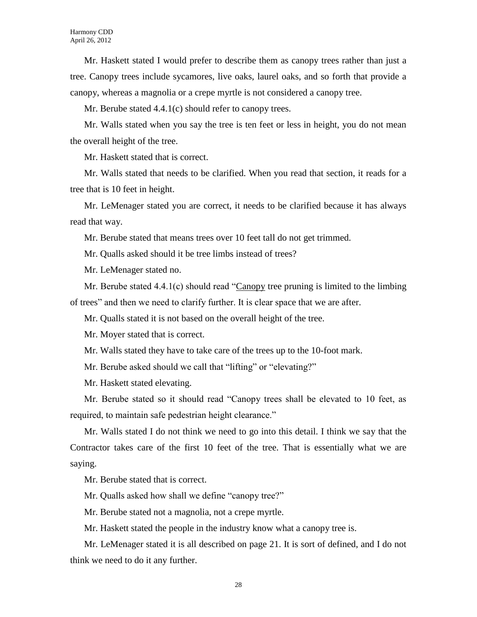Mr. Haskett stated I would prefer to describe them as canopy trees rather than just a tree. Canopy trees include sycamores, live oaks, laurel oaks, and so forth that provide a canopy, whereas a magnolia or a crepe myrtle is not considered a canopy tree.

Mr. Berube stated 4.4.1(c) should refer to canopy trees.

Mr. Walls stated when you say the tree is ten feet or less in height, you do not mean the overall height of the tree.

Mr. Haskett stated that is correct.

Mr. Walls stated that needs to be clarified. When you read that section, it reads for a tree that is 10 feet in height.

Mr. LeMenager stated you are correct, it needs to be clarified because it has always read that way.

Mr. Berube stated that means trees over 10 feet tall do not get trimmed.

Mr. Qualls asked should it be tree limbs instead of trees?

Mr. LeMenager stated no.

Mr. Berube stated  $4.4.1(c)$  should read "Canopy tree pruning is limited to the limbing of trees" and then we need to clarify further. It is clear space that we are after.

Mr. Qualls stated it is not based on the overall height of the tree.

Mr. Moyer stated that is correct.

Mr. Walls stated they have to take care of the trees up to the 10-foot mark.

Mr. Berube asked should we call that "lifting" or "elevating?"

Mr. Haskett stated elevating.

Mr. Berube stated so it should read "Canopy trees shall be elevated to 10 feet, as required, to maintain safe pedestrian height clearance."

Mr. Walls stated I do not think we need to go into this detail. I think we say that the Contractor takes care of the first 10 feet of the tree. That is essentially what we are saying.

Mr. Berube stated that is correct.

Mr. Qualls asked how shall we define "canopy tree?"

Mr. Berube stated not a magnolia, not a crepe myrtle.

Mr. Haskett stated the people in the industry know what a canopy tree is.

Mr. LeMenager stated it is all described on page 21. It is sort of defined, and I do not think we need to do it any further.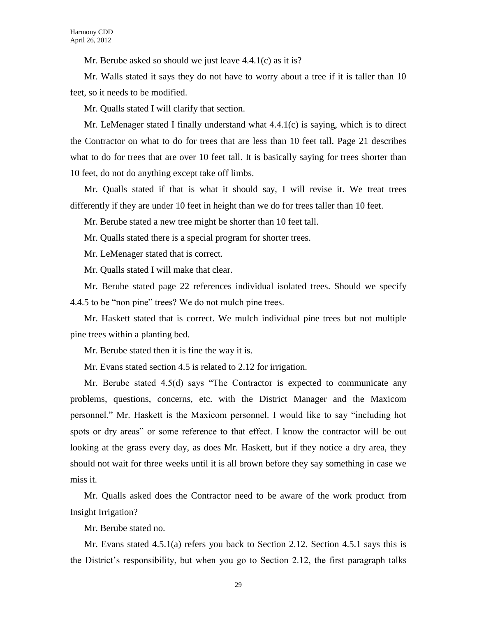Mr. Berube asked so should we just leave 4.4.1(c) as it is?

Mr. Walls stated it says they do not have to worry about a tree if it is taller than 10 feet, so it needs to be modified.

Mr. Qualls stated I will clarify that section.

Mr. LeMenager stated I finally understand what  $4.4.1(c)$  is saying, which is to direct the Contractor on what to do for trees that are less than 10 feet tall. Page 21 describes what to do for trees that are over 10 feet tall. It is basically saying for trees shorter than 10 feet, do not do anything except take off limbs.

Mr. Qualls stated if that is what it should say, I will revise it. We treat trees differently if they are under 10 feet in height than we do for trees taller than 10 feet.

Mr. Berube stated a new tree might be shorter than 10 feet tall.

Mr. Qualls stated there is a special program for shorter trees.

Mr. LeMenager stated that is correct.

Mr. Qualls stated I will make that clear.

Mr. Berube stated page 22 references individual isolated trees. Should we specify 4.4.5 to be "non pine" trees? We do not mulch pine trees.

Mr. Haskett stated that is correct. We mulch individual pine trees but not multiple pine trees within a planting bed.

Mr. Berube stated then it is fine the way it is.

Mr. Evans stated section 4.5 is related to 2.12 for irrigation.

Mr. Berube stated 4.5(d) says "The Contractor is expected to communicate any problems, questions, concerns, etc. with the District Manager and the Maxicom personnel." Mr. Haskett is the Maxicom personnel. I would like to say "including hot spots or dry areas" or some reference to that effect. I know the contractor will be out looking at the grass every day, as does Mr. Haskett, but if they notice a dry area, they should not wait for three weeks until it is all brown before they say something in case we miss it.

Mr. Qualls asked does the Contractor need to be aware of the work product from Insight Irrigation?

Mr. Berube stated no.

Mr. Evans stated 4.5.1(a) refers you back to Section 2.12. Section 4.5.1 says this is the District's responsibility, but when you go to Section 2.12, the first paragraph talks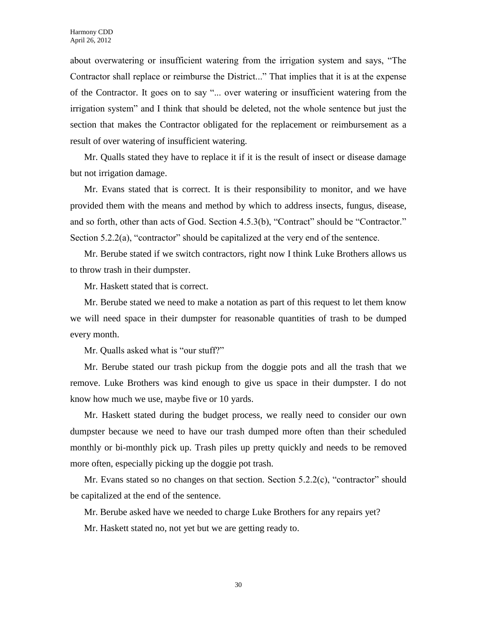about overwatering or insufficient watering from the irrigation system and says, "The Contractor shall replace or reimburse the District..." That implies that it is at the expense of the Contractor. It goes on to say "... over watering or insufficient watering from the irrigation system" and I think that should be deleted, not the whole sentence but just the section that makes the Contractor obligated for the replacement or reimbursement as a result of over watering of insufficient watering.

Mr. Qualls stated they have to replace it if it is the result of insect or disease damage but not irrigation damage.

Mr. Evans stated that is correct. It is their responsibility to monitor, and we have provided them with the means and method by which to address insects, fungus, disease, and so forth, other than acts of God. Section 4.5.3(b), "Contract" should be "Contractor." Section 5.2.2(a), "contractor" should be capitalized at the very end of the sentence.

Mr. Berube stated if we switch contractors, right now I think Luke Brothers allows us to throw trash in their dumpster.

Mr. Haskett stated that is correct.

Mr. Berube stated we need to make a notation as part of this request to let them know we will need space in their dumpster for reasonable quantities of trash to be dumped every month.

Mr. Qualls asked what is "our stuff?"

Mr. Berube stated our trash pickup from the doggie pots and all the trash that we remove. Luke Brothers was kind enough to give us space in their dumpster. I do not know how much we use, maybe five or 10 yards.

Mr. Haskett stated during the budget process, we really need to consider our own dumpster because we need to have our trash dumped more often than their scheduled monthly or bi-monthly pick up. Trash piles up pretty quickly and needs to be removed more often, especially picking up the doggie pot trash.

Mr. Evans stated so no changes on that section. Section 5.2.2(c), "contractor" should be capitalized at the end of the sentence.

Mr. Berube asked have we needed to charge Luke Brothers for any repairs yet?

Mr. Haskett stated no, not yet but we are getting ready to.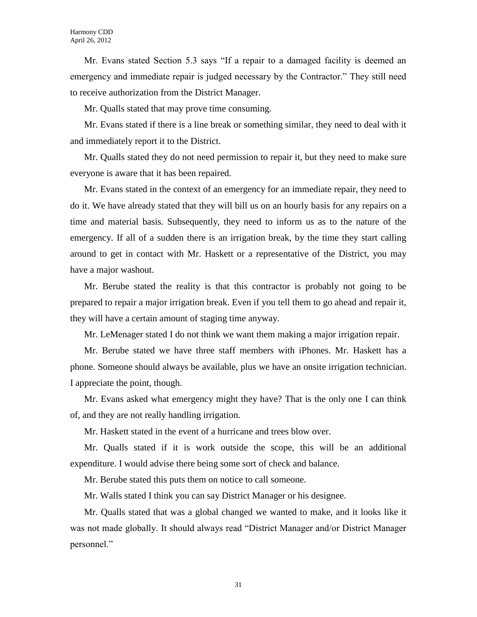Mr. Evans stated Section 5.3 says "If a repair to a damaged facility is deemed an emergency and immediate repair is judged necessary by the Contractor." They still need to receive authorization from the District Manager.

Mr. Qualls stated that may prove time consuming.

Mr. Evans stated if there is a line break or something similar, they need to deal with it and immediately report it to the District.

Mr. Qualls stated they do not need permission to repair it, but they need to make sure everyone is aware that it has been repaired.

Mr. Evans stated in the context of an emergency for an immediate repair, they need to do it. We have already stated that they will bill us on an hourly basis for any repairs on a time and material basis. Subsequently, they need to inform us as to the nature of the emergency. If all of a sudden there is an irrigation break, by the time they start calling around to get in contact with Mr. Haskett or a representative of the District, you may have a major washout.

Mr. Berube stated the reality is that this contractor is probably not going to be prepared to repair a major irrigation break. Even if you tell them to go ahead and repair it, they will have a certain amount of staging time anyway.

Mr. LeMenager stated I do not think we want them making a major irrigation repair.

Mr. Berube stated we have three staff members with iPhones. Mr. Haskett has a phone. Someone should always be available, plus we have an onsite irrigation technician. I appreciate the point, though.

Mr. Evans asked what emergency might they have? That is the only one I can think of, and they are not really handling irrigation.

Mr. Haskett stated in the event of a hurricane and trees blow over.

Mr. Qualls stated if it is work outside the scope, this will be an additional expenditure. I would advise there being some sort of check and balance.

Mr. Berube stated this puts them on notice to call someone.

Mr. Walls stated I think you can say District Manager or his designee.

Mr. Qualls stated that was a global changed we wanted to make, and it looks like it was not made globally. It should always read "District Manager and/or District Manager personnel."

31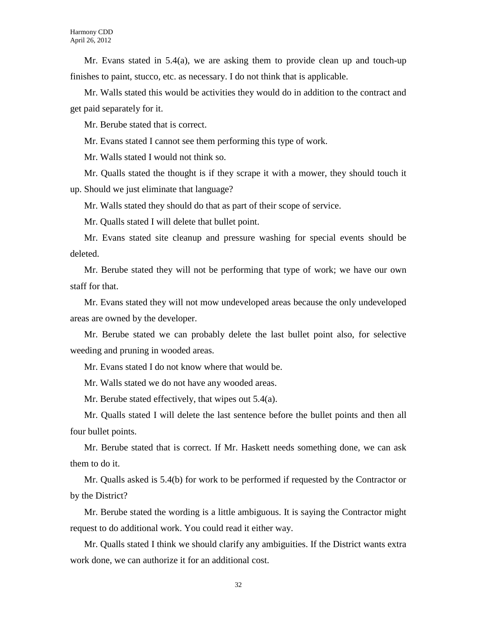Mr. Evans stated in 5.4(a), we are asking them to provide clean up and touch-up finishes to paint, stucco, etc. as necessary. I do not think that is applicable.

Mr. Walls stated this would be activities they would do in addition to the contract and get paid separately for it.

Mr. Berube stated that is correct.

Mr. Evans stated I cannot see them performing this type of work.

Mr. Walls stated I would not think so.

Mr. Qualls stated the thought is if they scrape it with a mower, they should touch it up. Should we just eliminate that language?

Mr. Walls stated they should do that as part of their scope of service.

Mr. Qualls stated I will delete that bullet point.

Mr. Evans stated site cleanup and pressure washing for special events should be deleted.

Mr. Berube stated they will not be performing that type of work; we have our own staff for that.

Mr. Evans stated they will not mow undeveloped areas because the only undeveloped areas are owned by the developer.

Mr. Berube stated we can probably delete the last bullet point also, for selective weeding and pruning in wooded areas.

Mr. Evans stated I do not know where that would be.

Mr. Walls stated we do not have any wooded areas.

Mr. Berube stated effectively, that wipes out 5.4(a).

Mr. Qualls stated I will delete the last sentence before the bullet points and then all four bullet points.

Mr. Berube stated that is correct. If Mr. Haskett needs something done, we can ask them to do it.

Mr. Qualls asked is 5.4(b) for work to be performed if requested by the Contractor or by the District?

Mr. Berube stated the wording is a little ambiguous. It is saying the Contractor might request to do additional work. You could read it either way.

Mr. Qualls stated I think we should clarify any ambiguities. If the District wants extra work done, we can authorize it for an additional cost.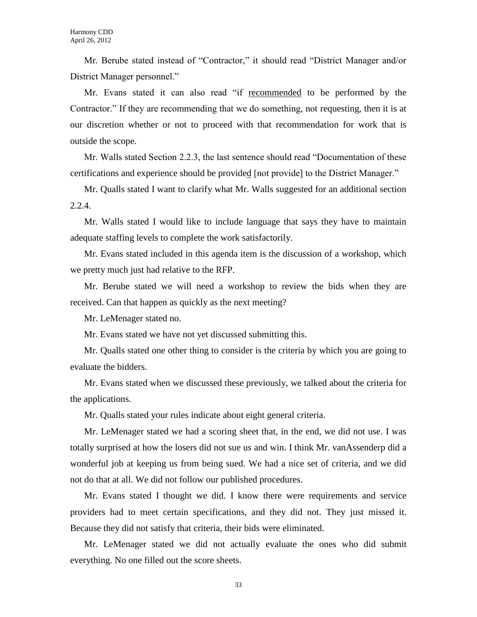Mr. Berube stated instead of "Contractor," it should read "District Manager and/or District Manager personnel."

Mr. Evans stated it can also read "if recommended to be performed by the Contractor." If they are recommending that we do something, not requesting, then it is at our discretion whether or not to proceed with that recommendation for work that is outside the scope.

Mr. Walls stated Section 2.2.3, the last sentence should read "Documentation of these certifications and experience should be provided [not provide] to the District Manager."

Mr. Qualls stated I want to clarify what Mr. Walls suggested for an additional section 2.2.4.

Mr. Walls stated I would like to include language that says they have to maintain adequate staffing levels to complete the work satisfactorily.

Mr. Evans stated included in this agenda item is the discussion of a workshop, which we pretty much just had relative to the RFP.

Mr. Berube stated we will need a workshop to review the bids when they are received. Can that happen as quickly as the next meeting?

Mr. LeMenager stated no.

Mr. Evans stated we have not yet discussed submitting this.

Mr. Qualls stated one other thing to consider is the criteria by which you are going to evaluate the bidders.

Mr. Evans stated when we discussed these previously, we talked about the criteria for the applications.

Mr. Qualls stated your rules indicate about eight general criteria.

Mr. LeMenager stated we had a scoring sheet that, in the end, we did not use. I was totally surprised at how the losers did not sue us and win. I think Mr. vanAssenderp did a wonderful job at keeping us from being sued. We had a nice set of criteria, and we did not do that at all. We did not follow our published procedures.

Mr. Evans stated I thought we did. I know there were requirements and service providers had to meet certain specifications, and they did not. They just missed it. Because they did not satisfy that criteria, their bids were eliminated.

Mr. LeMenager stated we did not actually evaluate the ones who did submit everything. No one filled out the score sheets.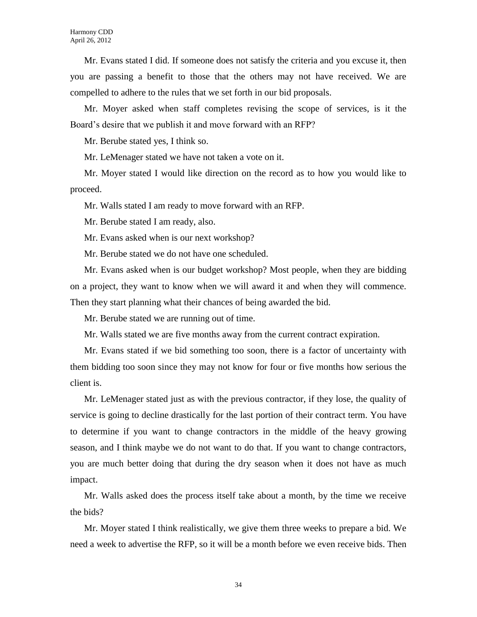Mr. Evans stated I did. If someone does not satisfy the criteria and you excuse it, then you are passing a benefit to those that the others may not have received. We are compelled to adhere to the rules that we set forth in our bid proposals.

Mr. Moyer asked when staff completes revising the scope of services, is it the Board's desire that we publish it and move forward with an RFP?

Mr. Berube stated yes, I think so.

Mr. LeMenager stated we have not taken a vote on it.

Mr. Moyer stated I would like direction on the record as to how you would like to proceed.

Mr. Walls stated I am ready to move forward with an RFP.

Mr. Berube stated I am ready, also.

Mr. Evans asked when is our next workshop?

Mr. Berube stated we do not have one scheduled.

Mr. Evans asked when is our budget workshop? Most people, when they are bidding on a project, they want to know when we will award it and when they will commence. Then they start planning what their chances of being awarded the bid.

Mr. Berube stated we are running out of time.

Mr. Walls stated we are five months away from the current contract expiration.

Mr. Evans stated if we bid something too soon, there is a factor of uncertainty with them bidding too soon since they may not know for four or five months how serious the client is.

Mr. LeMenager stated just as with the previous contractor, if they lose, the quality of service is going to decline drastically for the last portion of their contract term. You have to determine if you want to change contractors in the middle of the heavy growing season, and I think maybe we do not want to do that. If you want to change contractors, you are much better doing that during the dry season when it does not have as much impact.

Mr. Walls asked does the process itself take about a month, by the time we receive the bids?

Mr. Moyer stated I think realistically, we give them three weeks to prepare a bid. We need a week to advertise the RFP, so it will be a month before we even receive bids. Then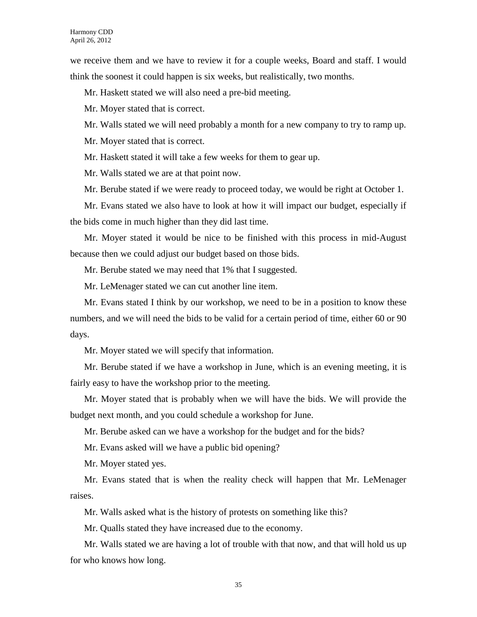we receive them and we have to review it for a couple weeks, Board and staff. I would think the soonest it could happen is six weeks, but realistically, two months.

Mr. Haskett stated we will also need a pre-bid meeting.

Mr. Moyer stated that is correct.

Mr. Walls stated we will need probably a month for a new company to try to ramp up.

Mr. Moyer stated that is correct.

Mr. Haskett stated it will take a few weeks for them to gear up.

Mr. Walls stated we are at that point now.

Mr. Berube stated if we were ready to proceed today, we would be right at October 1.

Mr. Evans stated we also have to look at how it will impact our budget, especially if the bids come in much higher than they did last time.

Mr. Moyer stated it would be nice to be finished with this process in mid-August because then we could adjust our budget based on those bids.

Mr. Berube stated we may need that 1% that I suggested.

Mr. LeMenager stated we can cut another line item.

Mr. Evans stated I think by our workshop, we need to be in a position to know these numbers, and we will need the bids to be valid for a certain period of time, either 60 or 90 days.

Mr. Moyer stated we will specify that information.

Mr. Berube stated if we have a workshop in June, which is an evening meeting, it is fairly easy to have the workshop prior to the meeting.

Mr. Moyer stated that is probably when we will have the bids. We will provide the budget next month, and you could schedule a workshop for June.

Mr. Berube asked can we have a workshop for the budget and for the bids?

Mr. Evans asked will we have a public bid opening?

Mr. Moyer stated yes.

Mr. Evans stated that is when the reality check will happen that Mr. LeMenager raises.

Mr. Walls asked what is the history of protests on something like this?

Mr. Qualls stated they have increased due to the economy.

Mr. Walls stated we are having a lot of trouble with that now, and that will hold us up for who knows how long.

35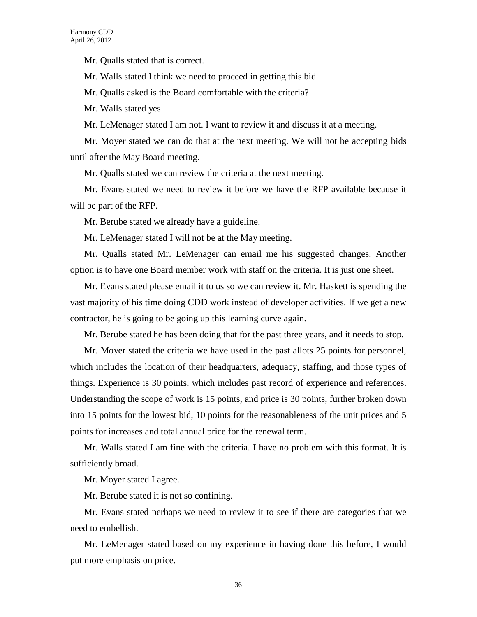Mr. Qualls stated that is correct.

Mr. Walls stated I think we need to proceed in getting this bid.

Mr. Qualls asked is the Board comfortable with the criteria?

Mr. Walls stated yes.

Mr. LeMenager stated I am not. I want to review it and discuss it at a meeting.

Mr. Moyer stated we can do that at the next meeting. We will not be accepting bids until after the May Board meeting.

Mr. Qualls stated we can review the criteria at the next meeting.

Mr. Evans stated we need to review it before we have the RFP available because it will be part of the RFP.

Mr. Berube stated we already have a guideline.

Mr. LeMenager stated I will not be at the May meeting.

Mr. Qualls stated Mr. LeMenager can email me his suggested changes. Another option is to have one Board member work with staff on the criteria. It is just one sheet.

Mr. Evans stated please email it to us so we can review it. Mr. Haskett is spending the vast majority of his time doing CDD work instead of developer activities. If we get a new contractor, he is going to be going up this learning curve again.

Mr. Berube stated he has been doing that for the past three years, and it needs to stop.

Mr. Moyer stated the criteria we have used in the past allots 25 points for personnel, which includes the location of their headquarters, adequacy, staffing, and those types of things. Experience is 30 points, which includes past record of experience and references. Understanding the scope of work is 15 points, and price is 30 points, further broken down into 15 points for the lowest bid, 10 points for the reasonableness of the unit prices and 5 points for increases and total annual price for the renewal term.

Mr. Walls stated I am fine with the criteria. I have no problem with this format. It is sufficiently broad.

Mr. Moyer stated I agree.

Mr. Berube stated it is not so confining.

Mr. Evans stated perhaps we need to review it to see if there are categories that we need to embellish.

Mr. LeMenager stated based on my experience in having done this before, I would put more emphasis on price.

36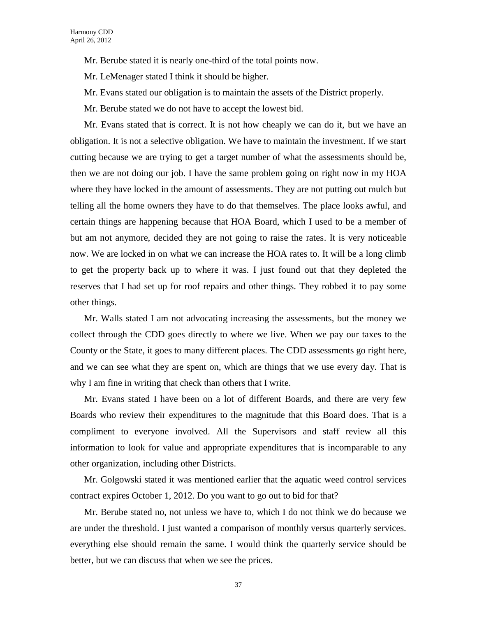Mr. Berube stated it is nearly one-third of the total points now.

Mr. LeMenager stated I think it should be higher.

Mr. Evans stated our obligation is to maintain the assets of the District properly.

Mr. Berube stated we do not have to accept the lowest bid.

Mr. Evans stated that is correct. It is not how cheaply we can do it, but we have an obligation. It is not a selective obligation. We have to maintain the investment. If we start cutting because we are trying to get a target number of what the assessments should be, then we are not doing our job. I have the same problem going on right now in my HOA where they have locked in the amount of assessments. They are not putting out mulch but telling all the home owners they have to do that themselves. The place looks awful, and certain things are happening because that HOA Board, which I used to be a member of but am not anymore, decided they are not going to raise the rates. It is very noticeable now. We are locked in on what we can increase the HOA rates to. It will be a long climb to get the property back up to where it was. I just found out that they depleted the reserves that I had set up for roof repairs and other things. They robbed it to pay some other things.

Mr. Walls stated I am not advocating increasing the assessments, but the money we collect through the CDD goes directly to where we live. When we pay our taxes to the County or the State, it goes to many different places. The CDD assessments go right here, and we can see what they are spent on, which are things that we use every day. That is why I am fine in writing that check than others that I write.

Mr. Evans stated I have been on a lot of different Boards, and there are very few Boards who review their expenditures to the magnitude that this Board does. That is a compliment to everyone involved. All the Supervisors and staff review all this information to look for value and appropriate expenditures that is incomparable to any other organization, including other Districts.

Mr. Golgowski stated it was mentioned earlier that the aquatic weed control services contract expires October 1, 2012. Do you want to go out to bid for that?

Mr. Berube stated no, not unless we have to, which I do not think we do because we are under the threshold. I just wanted a comparison of monthly versus quarterly services. everything else should remain the same. I would think the quarterly service should be better, but we can discuss that when we see the prices.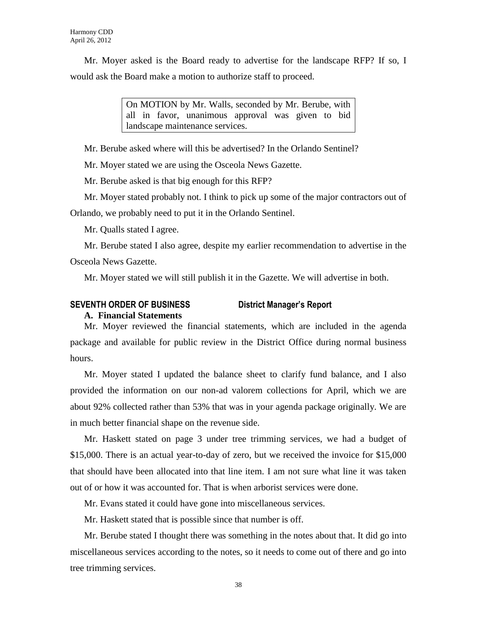Mr. Moyer asked is the Board ready to advertise for the landscape RFP? If so, I would ask the Board make a motion to authorize staff to proceed.

> On MOTION by Mr. Walls, seconded by Mr. Berube, with all in favor, unanimous approval was given to bid landscape maintenance services.

Mr. Berube asked where will this be advertised? In the Orlando Sentinel?

Mr. Moyer stated we are using the Osceola News Gazette.

Mr. Berube asked is that big enough for this RFP?

Mr. Moyer stated probably not. I think to pick up some of the major contractors out of Orlando, we probably need to put it in the Orlando Sentinel.

Mr. Qualls stated I agree.

Mr. Berube stated I also agree, despite my earlier recommendation to advertise in the Osceola News Gazette.

Mr. Moyer stated we will still publish it in the Gazette. We will advertise in both.

#### **SEVENTH ORDER OF BUSINESS District Manager's Report A. Financial Statements**

Mr. Moyer reviewed the financial statements, which are included in the agenda package and available for public review in the District Office during normal business hours.

Mr. Moyer stated I updated the balance sheet to clarify fund balance, and I also provided the information on our non-ad valorem collections for April, which we are about 92% collected rather than 53% that was in your agenda package originally. We are in much better financial shape on the revenue side.

Mr. Haskett stated on page 3 under tree trimming services, we had a budget of \$15,000. There is an actual year-to-day of zero, but we received the invoice for \$15,000 that should have been allocated into that line item. I am not sure what line it was taken out of or how it was accounted for. That is when arborist services were done.

Mr. Evans stated it could have gone into miscellaneous services.

Mr. Haskett stated that is possible since that number is off.

Mr. Berube stated I thought there was something in the notes about that. It did go into miscellaneous services according to the notes, so it needs to come out of there and go into tree trimming services.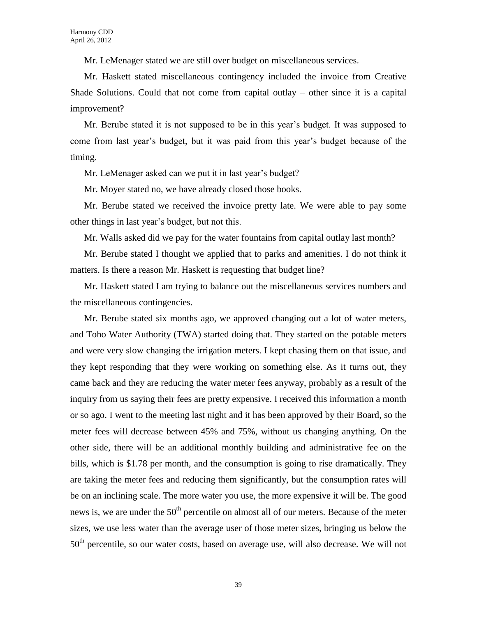Mr. LeMenager stated we are still over budget on miscellaneous services.

Mr. Haskett stated miscellaneous contingency included the invoice from Creative Shade Solutions. Could that not come from capital outlay – other since it is a capital improvement?

Mr. Berube stated it is not supposed to be in this year's budget. It was supposed to come from last year's budget, but it was paid from this year's budget because of the timing.

Mr. LeMenager asked can we put it in last year's budget?

Mr. Moyer stated no, we have already closed those books.

Mr. Berube stated we received the invoice pretty late. We were able to pay some other things in last year's budget, but not this.

Mr. Walls asked did we pay for the water fountains from capital outlay last month?

Mr. Berube stated I thought we applied that to parks and amenities. I do not think it matters. Is there a reason Mr. Haskett is requesting that budget line?

Mr. Haskett stated I am trying to balance out the miscellaneous services numbers and the miscellaneous contingencies.

Mr. Berube stated six months ago, we approved changing out a lot of water meters, and Toho Water Authority (TWA) started doing that. They started on the potable meters and were very slow changing the irrigation meters. I kept chasing them on that issue, and they kept responding that they were working on something else. As it turns out, they came back and they are reducing the water meter fees anyway, probably as a result of the inquiry from us saying their fees are pretty expensive. I received this information a month or so ago. I went to the meeting last night and it has been approved by their Board, so the meter fees will decrease between 45% and 75%, without us changing anything. On the other side, there will be an additional monthly building and administrative fee on the bills, which is \$1.78 per month, and the consumption is going to rise dramatically. They are taking the meter fees and reducing them significantly, but the consumption rates will be on an inclining scale. The more water you use, the more expensive it will be. The good news is, we are under the  $50<sup>th</sup>$  percentile on almost all of our meters. Because of the meter sizes, we use less water than the average user of those meter sizes, bringing us below the 50<sup>th</sup> percentile, so our water costs, based on average use, will also decrease. We will not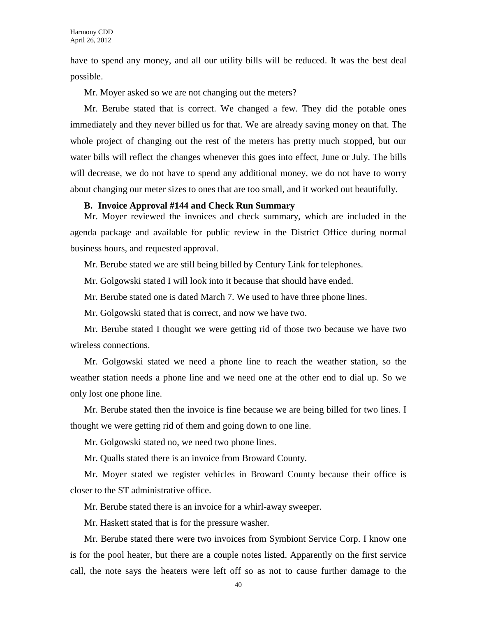have to spend any money, and all our utility bills will be reduced. It was the best deal possible.

Mr. Moyer asked so we are not changing out the meters?

Mr. Berube stated that is correct. We changed a few. They did the potable ones immediately and they never billed us for that. We are already saving money on that. The whole project of changing out the rest of the meters has pretty much stopped, but our water bills will reflect the changes whenever this goes into effect, June or July. The bills will decrease, we do not have to spend any additional money, we do not have to worry about changing our meter sizes to ones that are too small, and it worked out beautifully.

#### **B. Invoice Approval #144 and Check Run Summary**

Mr. Moyer reviewed the invoices and check summary, which are included in the agenda package and available for public review in the District Office during normal business hours, and requested approval.

Mr. Berube stated we are still being billed by Century Link for telephones.

Mr. Golgowski stated I will look into it because that should have ended.

Mr. Berube stated one is dated March 7. We used to have three phone lines.

Mr. Golgowski stated that is correct, and now we have two.

Mr. Berube stated I thought we were getting rid of those two because we have two wireless connections.

Mr. Golgowski stated we need a phone line to reach the weather station, so the weather station needs a phone line and we need one at the other end to dial up. So we only lost one phone line.

Mr. Berube stated then the invoice is fine because we are being billed for two lines. I thought we were getting rid of them and going down to one line.

Mr. Golgowski stated no, we need two phone lines.

Mr. Qualls stated there is an invoice from Broward County.

Mr. Moyer stated we register vehicles in Broward County because their office is closer to the ST administrative office.

Mr. Berube stated there is an invoice for a whirl-away sweeper.

Mr. Haskett stated that is for the pressure washer.

Mr. Berube stated there were two invoices from Symbiont Service Corp. I know one is for the pool heater, but there are a couple notes listed. Apparently on the first service call, the note says the heaters were left off so as not to cause further damage to the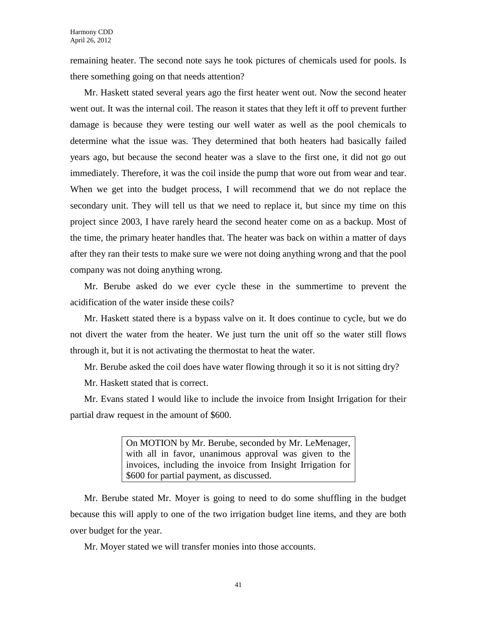remaining heater. The second note says he took pictures of chemicals used for pools. Is there something going on that needs attention?

Mr. Haskett stated several years ago the first heater went out. Now the second heater went out. It was the internal coil. The reason it states that they left it off to prevent further damage is because they were testing our well water as well as the pool chemicals to determine what the issue was. They determined that both heaters had basically failed years ago, but because the second heater was a slave to the first one, it did not go out immediately. Therefore, it was the coil inside the pump that wore out from wear and tear. When we get into the budget process, I will recommend that we do not replace the secondary unit. They will tell us that we need to replace it, but since my time on this project since 2003, I have rarely heard the second heater come on as a backup. Most of the time, the primary heater handles that. The heater was back on within a matter of days after they ran their tests to make sure we were not doing anything wrong and that the pool company was not doing anything wrong.

Mr. Berube asked do we ever cycle these in the summertime to prevent the acidification of the water inside these coils?

Mr. Haskett stated there is a bypass valve on it. It does continue to cycle, but we do not divert the water from the heater. We just turn the unit off so the water still flows through it, but it is not activating the thermostat to heat the water.

Mr. Berube asked the coil does have water flowing through it so it is not sitting dry?

Mr. Haskett stated that is correct.

Mr. Evans stated I would like to include the invoice from Insight Irrigation for their partial draw request in the amount of \$600.

> On MOTION by Mr. Berube, seconded by Mr. LeMenager, with all in favor, unanimous approval was given to the invoices, including the invoice from Insight Irrigation for \$600 for partial payment, as discussed.

Mr. Berube stated Mr. Moyer is going to need to do some shuffling in the budget because this will apply to one of the two irrigation budget line items, and they are both over budget for the year.

Mr. Moyer stated we will transfer monies into those accounts.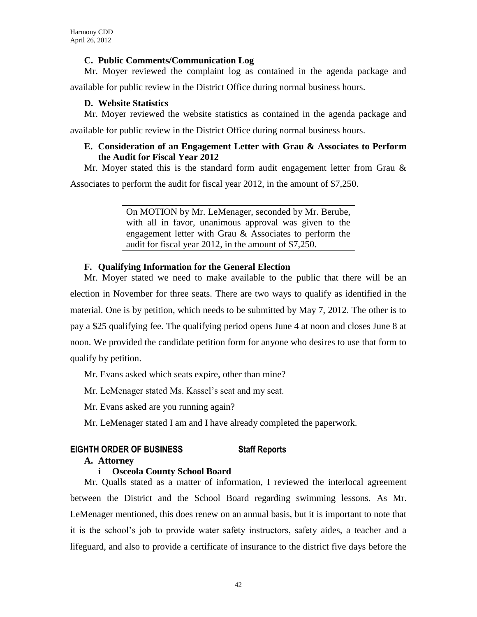## **C. Public Comments/Communication Log**

Mr. Moyer reviewed the complaint log as contained in the agenda package and

available for public review in the District Office during normal business hours.

# **D. Website Statistics**

Mr. Moyer reviewed the website statistics as contained in the agenda package and

available for public review in the District Office during normal business hours.

# **E. Consideration of an Engagement Letter with Grau & Associates to Perform the Audit for Fiscal Year 2012**

Mr. Moyer stated this is the standard form audit engagement letter from Grau  $\&$ 

Associates to perform the audit for fiscal year 2012, in the amount of \$7,250.

On MOTION by Mr. LeMenager, seconded by Mr. Berube, with all in favor, unanimous approval was given to the engagement letter with Grau & Associates to perform the audit for fiscal year 2012, in the amount of \$7,250.

# **F. Qualifying Information for the General Election**

Mr. Moyer stated we need to make available to the public that there will be an election in November for three seats. There are two ways to qualify as identified in the material. One is by petition, which needs to be submitted by May 7, 2012. The other is to pay a \$25 qualifying fee. The qualifying period opens June 4 at noon and closes June 8 at noon. We provided the candidate petition form for anyone who desires to use that form to qualify by petition.

Mr. Evans asked which seats expire, other than mine?

Mr. LeMenager stated Ms. Kassel's seat and my seat.

Mr. Evans asked are you running again?

Mr. LeMenager stated I am and I have already completed the paperwork.

# **EIGHTH ORDER OF BUSINESS Staff Reports**

## **A. Attorney**

# **i Osceola County School Board**

Mr. Qualls stated as a matter of information, I reviewed the interlocal agreement between the District and the School Board regarding swimming lessons. As Mr. LeMenager mentioned, this does renew on an annual basis, but it is important to note that it is the school's job to provide water safety instructors, safety aides, a teacher and a lifeguard, and also to provide a certificate of insurance to the district five days before the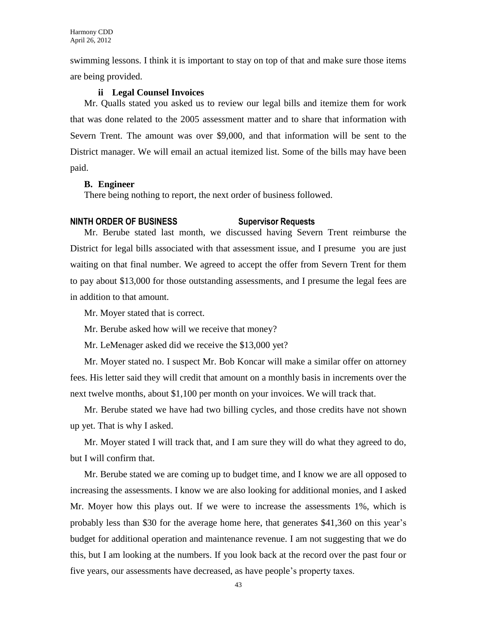swimming lessons. I think it is important to stay on top of that and make sure those items are being provided.

### **ii Legal Counsel Invoices**

Mr. Qualls stated you asked us to review our legal bills and itemize them for work that was done related to the 2005 assessment matter and to share that information with Severn Trent. The amount was over \$9,000, and that information will be sent to the District manager. We will email an actual itemized list. Some of the bills may have been paid.

#### **B. Engineer**

There being nothing to report, the next order of business followed.

#### **NINTH ORDER OF BUSINESS Supervisor Requests**

Mr. Berube stated last month, we discussed having Severn Trent reimburse the District for legal bills associated with that assessment issue, and I presume you are just waiting on that final number. We agreed to accept the offer from Severn Trent for them to pay about \$13,000 for those outstanding assessments, and I presume the legal fees are in addition to that amount.

Mr. Moyer stated that is correct.

Mr. Berube asked how will we receive that money?

Mr. LeMenager asked did we receive the \$13,000 yet?

Mr. Moyer stated no. I suspect Mr. Bob Koncar will make a similar offer on attorney fees. His letter said they will credit that amount on a monthly basis in increments over the next twelve months, about \$1,100 per month on your invoices. We will track that.

Mr. Berube stated we have had two billing cycles, and those credits have not shown up yet. That is why I asked.

Mr. Moyer stated I will track that, and I am sure they will do what they agreed to do, but I will confirm that.

Mr. Berube stated we are coming up to budget time, and I know we are all opposed to increasing the assessments. I know we are also looking for additional monies, and I asked Mr. Moyer how this plays out. If we were to increase the assessments 1%, which is probably less than \$30 for the average home here, that generates \$41,360 on this year's budget for additional operation and maintenance revenue. I am not suggesting that we do this, but I am looking at the numbers. If you look back at the record over the past four or five years, our assessments have decreased, as have people's property taxes.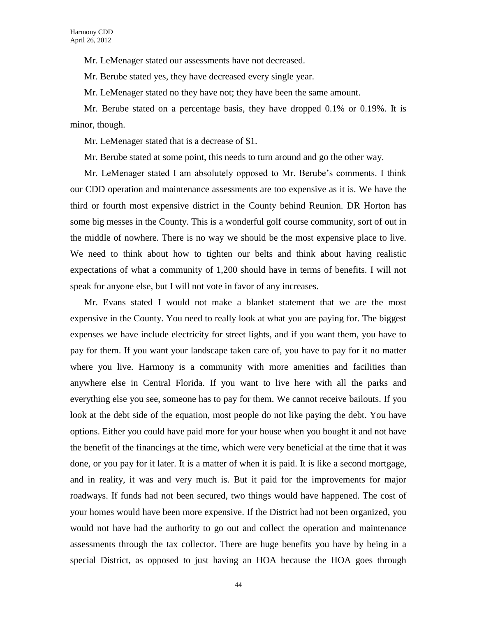Mr. LeMenager stated our assessments have not decreased.

Mr. Berube stated yes, they have decreased every single year.

Mr. LeMenager stated no they have not; they have been the same amount.

Mr. Berube stated on a percentage basis, they have dropped 0.1% or 0.19%. It is minor, though.

Mr. LeMenager stated that is a decrease of \$1.

Mr. Berube stated at some point, this needs to turn around and go the other way.

Mr. LeMenager stated I am absolutely opposed to Mr. Berube's comments. I think our CDD operation and maintenance assessments are too expensive as it is. We have the third or fourth most expensive district in the County behind Reunion. DR Horton has some big messes in the County. This is a wonderful golf course community, sort of out in the middle of nowhere. There is no way we should be the most expensive place to live. We need to think about how to tighten our belts and think about having realistic expectations of what a community of 1,200 should have in terms of benefits. I will not speak for anyone else, but I will not vote in favor of any increases.

Mr. Evans stated I would not make a blanket statement that we are the most expensive in the County. You need to really look at what you are paying for. The biggest expenses we have include electricity for street lights, and if you want them, you have to pay for them. If you want your landscape taken care of, you have to pay for it no matter where you live. Harmony is a community with more amenities and facilities than anywhere else in Central Florida. If you want to live here with all the parks and everything else you see, someone has to pay for them. We cannot receive bailouts. If you look at the debt side of the equation, most people do not like paying the debt. You have options. Either you could have paid more for your house when you bought it and not have the benefit of the financings at the time, which were very beneficial at the time that it was done, or you pay for it later. It is a matter of when it is paid. It is like a second mortgage, and in reality, it was and very much is. But it paid for the improvements for major roadways. If funds had not been secured, two things would have happened. The cost of your homes would have been more expensive. If the District had not been organized, you would not have had the authority to go out and collect the operation and maintenance assessments through the tax collector. There are huge benefits you have by being in a special District, as opposed to just having an HOA because the HOA goes through